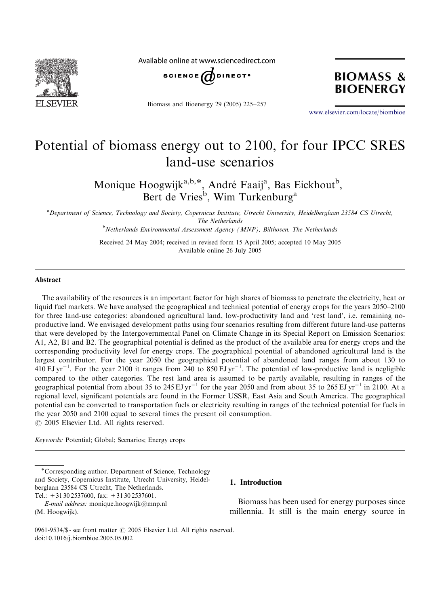

Available online at www.sciencedirect.com



Biomass and Bioenergy 29 (2005) 225–257



<www.elsevier.com/locate/biombioe>

# Potential of biomass energy out to 2100, for four IPCC SRES land-use scenarios

Monique Hoogwijk<sup>a,b,\*</sup>, André Faaij<sup>a</sup>, Bas Eickhout<sup>b</sup>, Bert de Vries<sup>b</sup>, Wim Turkenburg<sup>a</sup>

a Department of Science, Technology and Society, Copernicus Institute, Utrecht University, Heidelberglaan 23584 CS Utrecht, The Netherlands

<sup>b</sup>Netherlands Environmental Assessment Agency (MNP), Bilthoven, The Netherlands

Received 24 May 2004; received in revised form 15 April 2005; accepted 10 May 2005 Available online 26 July 2005

#### Abstract

The availability of the resources is an important factor for high shares of biomass to penetrate the electricity, heat or liquid fuel markets. We have analysed the geographical and technical potential of energy crops for the years  $2050-2100$ for three land-use categories: abandoned agricultural land, low-productivity land and 'rest land', i.e. remaining noproductive land. We envisaged development paths using four scenarios resulting from different future land-use patterns that were developed by the Intergovernmental Panel on Climate Change in its Special Report on Emission Scenarios: A1, A2, B1 and B2. The geographical potential is defined as the product of the available area for energy crops and the corresponding productivity level for energy crops. The geographical potential of abandoned agricultural land is the largest contributor. For the year 2050 the geographical potential of abandoned land ranges from about 130 to 410 EJ yr<sup>-1</sup>. For the year 2100 it ranges from 240 to 850 EJ yr<sup>-1</sup>. The potential of low-productive land is negligible compared to the other categories. The rest land area is assumed to be partly available, resulting in ranges of the geographical potential from about 35 to 245 EJ yr<sup>-1</sup> for the year 2050 and from about 35 to 265 EJ yr<sup>-1</sup> in 2100. At a regional level, significant potentials are found in the Former USSR, East Asia and South America. The geographical potential can be converted to transportation fuels or electricity resulting in ranges of the technical potential for fuels in the year 2050 and 2100 equal to several times the present oil consumption.  $O$  2005 Elsevier Ltd. All rights reserved.

Keywords: Potential; Global; Scenarios; Energy crops

Corresponding author. Department of Science, Technology and Society, Copernicus Institute, Utrecht University, Heidelberglaan 23584 CS Utrecht, The Netherlands. Tel.: +31 30 2537600, fax: +31 30 2537601.

E-mail address: monique.hoogwijk@mnp.nl (M. Hoogwijk).

## 1. Introduction

Biomass has been used for energy purposes since millennia. It still is the main energy source in

0961-9534/\$ - see front matter  $\odot$  2005 Elsevier Ltd. All rights reserved. doi:10.1016/j.biombioe.2005.05.002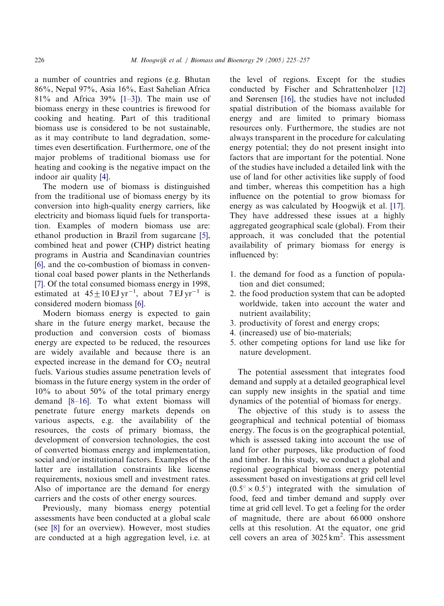a number of countries and regions (e.g. Bhutan 86%, Nepal 97%, Asia 16%, East Sahelian Africa  $81\%$  and Africa 39% [\[1–3\]](#page-30-0)). The main use of biomass energy in these countries is firewood for cooking and heating. Part of this traditional biomass use is considered to be not sustainable, as it may contribute to land degradation, sometimes even desertification. Furthermore, one of the major problems of traditional biomass use for heating and cooking is the negative impact on the indoor air quality [\[4\].](#page-30-0)

The modern use of biomass is distinguished from the traditional use of biomass energy by its conversion into high-quality energy carriers, like electricity and biomass liquid fuels for transportation. Examples of modern biomass use are: ethanol production in Brazil from sugarcane [\[5\]](#page-30-0), combined heat and power (CHP) district heating programs in Austria and Scandinavian countries [\[6\],](#page-30-0) and the co-combustion of biomass in conventional coal based power plants in the Netherlands [\[7\].](#page-30-0) Of the total consumed biomass energy in 1998, estimated at  $45 \pm 10 \text{ EJ yr}^{-1}$ , about  $7 \text{ EJ yr}^{-1}$  is considered modern biomass [\[6\]](#page-30-0).

Modern biomass energy is expected to gain share in the future energy market, because the production and conversion costs of biomass energy are expected to be reduced, the resources are widely available and because there is an expected increase in the demand for  $CO<sub>2</sub>$  neutral fuels. Various studies assume penetration levels of biomass in the future energy system in the order of  $10\%$  to about 50% of the total primary energy demand [\[8–16\]](#page-30-0). To what extent biomass will penetrate future energy markets depends on various aspects, e.g. the availability of the resources, the costs of primary biomass, the development of conversion technologies, the cost of converted biomass energy and implementation, social and/or institutional factors. Examples of the latter are installation constraints like license requirements, noxious smell and investment rates. Also of importance are the demand for energy carriers and the costs of other energy sources.

Previously, many biomass energy potential assessments have been conducted at a global scale (see [\[8\]](#page-30-0) for an overview). However, most studies are conducted at a high aggregation level, i.e. at

the level of regions. Except for the studies conducted by Fischer and Schrattenholzer [\[12\]](#page-31-0) and Sørensen [\[16\]](#page-31-0), the studies have not included spatial distribution of the biomass available for energy and are limited to primary biomass resources only. Furthermore, the studies are not always transparent in the procedure for calculating energy potential; they do not present insight into factors that are important for the potential. None of the studies have included a detailed link with the use of land for other activities like supply of food and timber, whereas this competition has a high influence on the potential to grow biomass for energy as was calculated by Hoogwijk et al. [\[17\]](#page-31-0). They have addressed these issues at a highly aggregated geographical scale (global). From their approach, it was concluded that the potential availability of primary biomass for energy is influenced by:

- 1. the demand for food as a function of population and diet consumed;
- 2. the food production system that can be adopted worldwide, taken into account the water and nutrient availability;
- 3. productivity of forest and energy crops;
- 4. (increased) use of bio-materials;
- 5. other competing options for land use like for nature development.

The potential assessment that integrates food demand and supply at a detailed geographical level can supply new insights in the spatial and time dynamics of the potential of biomass for energy.

The objective of this study is to assess the geographical and technical potential of biomass energy. The focus is on the geographical potential, which is assessed taking into account the use of land for other purposes, like production of food and timber. In this study, we conduct a global and regional geographical biomass energy potential assessment based on investigations at grid cell level  $(0.5^{\circ} \times 0.5^{\circ})$  integrated with the simulation of food, feed and timber demand and supply over time at grid cell level. To get a feeling for the order of magnitude, there are about 66 000 onshore cells at this resolution. At the equator, one grid cell covers an area of  $3025 \text{ km}^2$ . This assessment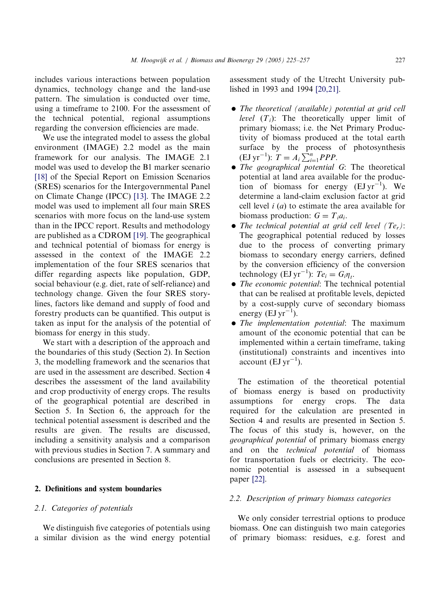includes various interactions between population dynamics, technology change and the land-use pattern. The simulation is conducted over time, using a timeframe to 2100. For the assessment of the technical potential, regional assumptions regarding the conversion efficiencies are made.

We use the integrated model to assess the global environment (IMAGE) 2.2 model as the main framework for our analysis. The IMAGE 2.1 model was used to develop the B1 marker scenario [\[18\]](#page-31-0) of the Special Report on Emission Scenarios (SRES) scenarios for the Intergovernmental Panel on Climate Change (IPCC) [\[13\]](#page-31-0). The IMAGE 2.2 model was used to implement all four main SRES scenarios with more focus on the land-use system than in the IPCC report. Results and methodology are published as a CDROM [\[19\]](#page-31-0). The geographical and technical potential of biomass for energy is assessed in the context of the IMAGE 2.2 implementation of the four SRES scenarios that differ regarding aspects like population, GDP, social behaviour (e.g. diet, rate of self-reliance) and technology change. Given the four SRES storylines, factors like demand and supply of food and forestry products can be quantified. This output is taken as input for the analysis of the potential of biomass for energy in this study.

We start with a description of the approach and the boundaries of this study (Section 2). In Section 3, the modelling framework and the scenarios that are used in the assessment are described. Section 4 describes the assessment of the land availability and crop productivity of energy crops. The results of the geographical potential are described in Section 5. In Section 6, the approach for the technical potential assessment is described and the results are given. The results are discussed, including a sensitivity analysis and a comparison with previous studies in Section 7. A summary and conclusions are presented in Section 8.

#### 2. Definitions and system boundaries

#### 2.1. Categories of potentials

We distinguish five categories of potentials using a similar division as the wind energy potential assessment study of the Utrecht University published in 1993 and 1994 [\[20,21\]](#page-31-0).

- The theoretical (available) potential at grid cell level  $(T_i)$ : The theoretically upper limit of primary biomass; i.e. the Net Primary Productivity of biomass produced at the total earth surface by the process of photosynthesis (EJ yr<sup>-1</sup>):  $T = A_i \sum_{i=1}^{n} PPP.$
- The geographical potential G: The theoretical potential at land area available for the production of biomass for energy  $(EJyr^{-1})$ . We determine a land-claim exclusion factor at grid cell level  $i(a)$  to estimate the area available for biomass production:  $G = T_i a_i$ .
- $\bullet$  The technical potential at grid cell level (Te<sub>r</sub>): The geographical potential reduced by losses due to the process of converting primary biomass to secondary energy carriers, defined by the conversion efficiency of the conversion technology (EJ yr<sup>-1</sup>):  $Te_i = G_i \eta_i$ .
- The economic potential: The technical potential that can be realised at profitable levels, depicted by a cost-supply curve of secondary biomass energy (EJ  $yr^{-1}$ ).
- The implementation potential: The maximum amount of the economic potential that can be implemented within a certain timeframe, taking (institutional) constraints and incentives into  $\text{account } (\text{EJ yr}^{-1}).$

The estimation of the theoretical potential of biomass energy is based on productivity assumptions for energy crops. The data required for the calculation are presented in Section 4 and results are presented in Section 5. The focus of this study is, however, on the geographical potential of primary biomass energy and on the technical potential of biomass for transportation fuels or electricity. The economic potential is assessed in a subsequent paper [\[22\].](#page-31-0)

#### 2.2. Description of primary biomass categories

We only consider terrestrial options to produce biomass. One can distinguish two main categories of primary biomass: residues, e.g. forest and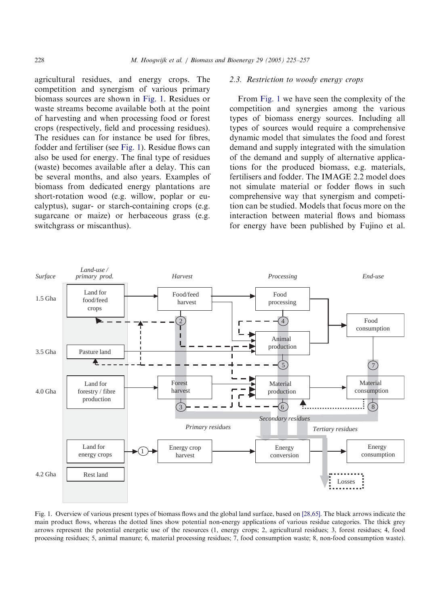<span id="page-3-0"></span>agricultural residues, and energy crops. The competition and synergism of various primary biomass sources are shown in Fig. 1. Residues or waste streams become available both at the point of harvesting and when processing food or forest crops (respectively, field and processing residues). The residues can for instance be used for fibres, fodder and fertiliser (see Fig. 1). Residue flows can also be used for energy. The final type of residues (waste) becomes available after a delay. This can be several months, and also years. Examples of biomass from dedicated energy plantations are short-rotation wood (e.g. willow, poplar or eucalyptus), sugar- or starch-containing crops (e.g. sugarcane or maize) or herbaceous grass (e.g. switchgrass or miscanthus).

## 2.3. Restriction to woody energy crops

From Fig. 1 we have seen the complexity of the competition and synergies among the various types of biomass energy sources. Including all types of sources would require a comprehensive dynamic model that simulates the food and forest demand and supply integrated with the simulation of the demand and supply of alternative applications for the produced biomass, e.g. materials, fertilisers and fodder. The IMAGE 2.2 model does not simulate material or fodder flows in such comprehensive way that synergism and competition can be studied. Models that focus more on the interaction between material flows and biomass for energy have been published by Fujino et al.



Fig. 1. Overview of various present types of biomass flows and the global land surface, based on [\[28,65\].](#page-31-0) The black arrows indicate the main product flows, whereas the dotted lines show potential non-energy applications of various residue categories. The thick grey arrows represent the potential energetic use of the resources (1, energy crops; 2, agricultural residues; 3, forest residues; 4, food processing residues; 5, animal manure; 6, material processing residues; 7, food consumption waste; 8, non-food consumption waste).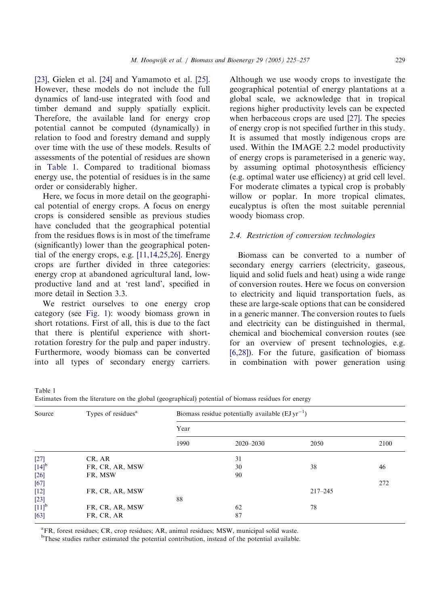[\[23\],](#page-31-0) Gielen et al. [\[24\]](#page-31-0) and Yamamoto et al. [\[25\]](#page-31-0). However, these models do not include the full dynamics of land-use integrated with food and timber demand and supply spatially explicit. Therefore, the available land for energy crop potential cannot be computed (dynamically) in relation to food and forestry demand and supply over time with the use of these models. Results of assessments of the potential of residues are shown in Table 1. Compared to traditional biomass energy use, the potential of residues is in the same order or considerably higher.

Here, we focus in more detail on the geographical potential of energy crops. A focus on energy crops is considered sensible as previous studies have concluded that the geographical potential from the residues flows is in most of the timeframe (significantly) lower than the geographical potential of the energy crops, e.g. [\[11,14,25,26\]](#page-30-0). Energy crops are further divided in three categories: energy crop at abandoned agricultural land, lowproductive land and at 'rest land', specified in more detail in Section 3.3.

We restrict ourselves to one energy crop category (see [Fig. 1](#page-3-0)): woody biomass grown in short rotations. First of all, this is due to the fact that there is plentiful experience with shortrotation forestry for the pulp and paper industry. Furthermore, woody biomass can be converted into all types of secondary energy carriers.

Although we use woody crops to investigate the geographical potential of energy plantations at a global scale, we acknowledge that in tropical regions higher productivity levels can be expected when herbaceous crops are used [\[27\]](#page-31-0). The species of energy crop is not specified further in this study. It is assumed that mostly indigenous crops are used. Within the IMAGE 2.2 model productivity of energy crops is parameterised in a generic way, by assuming optimal photosynthesis efficiency (e.g. optimal water use efficiency) at grid cell level. For moderate climates a typical crop is probably willow or poplar. In more tropical climates, eucalyptus is often the most suitable perennial woody biomass crop.

## 2.4. Restriction of conversion technologies

Biomass can be converted to a number of secondary energy carriers (electricity, gaseous, liquid and solid fuels and heat) using a wide range of conversion routes. Here we focus on conversion to electricity and liquid transportation fuels, as these are large-scale options that can be considered in a generic manner. The conversion routes to fuels and electricity can be distinguished in thermal, chemical and biochemical conversion routes (see for an overview of present technologies, e.g. [\[6,28\]\)](#page-30-0). For the future, gasification of biomass in combination with power generation using

Table 1

Estimates from the literature on the global (geographical) potential of biomass residues for energy

|                     |                                |                                                       |               | ັ           |      |  |  |  |  |  |  |
|---------------------|--------------------------------|-------------------------------------------------------|---------------|-------------|------|--|--|--|--|--|--|
| Source              | Types of residues <sup>a</sup> | Biomass residue potentially available (EJ $yr^{-1}$ ) |               |             |      |  |  |  |  |  |  |
|                     |                                | Year                                                  |               |             |      |  |  |  |  |  |  |
|                     |                                | 1990                                                  | $2020 - 2030$ | 2050        | 2100 |  |  |  |  |  |  |
| $[27]$              | CR, AR                         |                                                       | 31            |             |      |  |  |  |  |  |  |
| [14]                | FR, CR, AR, MSW                |                                                       | 30            | 38          | 46   |  |  |  |  |  |  |
| $[26]$              | FR, MSW                        |                                                       | 90            |             |      |  |  |  |  |  |  |
| $[67]$              |                                |                                                       |               |             | 272  |  |  |  |  |  |  |
| $[12]$              | FR, CR, AR, MSW                |                                                       |               | $217 - 245$ |      |  |  |  |  |  |  |
| $[23]$              |                                | 88                                                    |               |             |      |  |  |  |  |  |  |
| $[11]$ <sup>b</sup> | FR, CR, AR, MSW                |                                                       | 62            | 78          |      |  |  |  |  |  |  |
| $[63]$              | FR, CR, AR                     |                                                       | 87            |             |      |  |  |  |  |  |  |

<sup>a</sup>FR, forest residues; CR, crop residues; AR, animal residues; MSW, municipal solid waste.

<sup>b</sup>These studies rather estimated the potential contribution, instead of the potential available.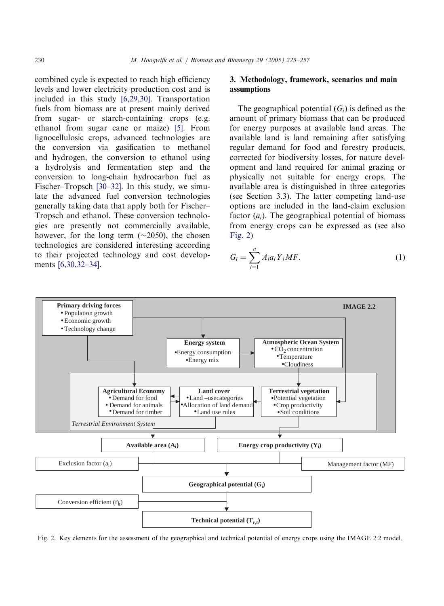<span id="page-5-0"></span>combined cycle is expected to reach high efficiency levels and lower electricity production cost and is included in this study [\[6,29,30\]](#page-30-0). Transportation fuels from biomass are at present mainly derived from sugar- or starch-containing crops (e.g. ethanol from sugar cane or maize) [\[5\]](#page-30-0). From lignocellulosic crops, advanced technologies are the conversion via gasification to methanol and hydrogen, the conversion to ethanol using a hydrolysis and fermentation step and the conversion to long-chain hydrocarbon fuel as Fischer–Tropsch [\[30–32\].](#page-31-0) In this study, we simulate the advanced fuel conversion technologies generally taking data that apply both for Fischer– Tropsch and ethanol. These conversion technologies are presently not commercially available, however, for the long term  $(\sim 2050)$ , the chosen technologies are considered interesting according to their projected technology and cost developments [\[6,30,32–34\].](#page-30-0)

## 3. Methodology, framework, scenarios and main assumptions

The geographical potential  $(G_i)$  is defined as the amount of primary biomass that can be produced for energy purposes at available land areas. The available land is land remaining after satisfying regular demand for food and forestry products, corrected for biodiversity losses, for nature development and land required for animal grazing or physically not suitable for energy crops. The available area is distinguished in three categories (see Section 3.3). The latter competing land-use options are included in the land-claim exclusion factor  $(a_i)$ . The geographical potential of biomass from energy crops can be expressed as (see also Fig. 2)

$$
G_i = \sum_{i=1}^{n} A_i a_i Y_i M F.
$$
 (1)



Fig. 2. Key elements for the assessment of the geographical and technical potential of energy crops using the IMAGE 2.2 model.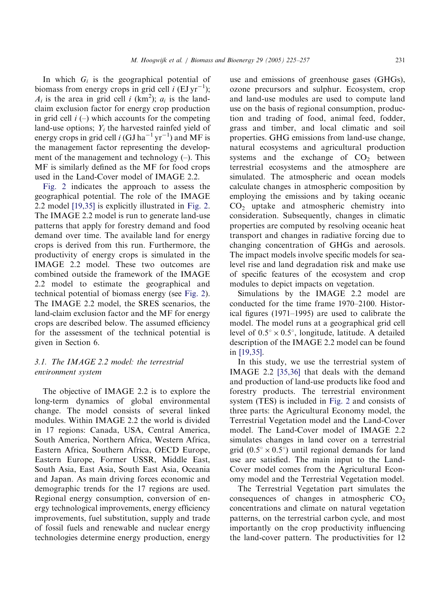In which  $G_i$  is the geographical potential of biomass from energy crops in grid cell  $i$  (EJ yr<sup>-1</sup>);  $A_i$  is the area in grid cell i (km<sup>2</sup>);  $a_i$  is the landclaim exclusion factor for energy crop production in grid cell  $i$  (–) which accounts for the competing land-use options;  $Y_i$  the harvested rainfed yield of energy crops in grid cell *i* (GJ ha<sup>-1</sup> yr<sup>-1</sup>) and MF is the management factor representing the development of the management and technology (–). This MF is similarly defined as the MF for food crops used in the Land-Cover model of IMAGE 2.2.

[Fig. 2](#page-5-0) indicates the approach to assess the geographical potential. The role of the IMAGE 2.2 model [\[19,35\]](#page-31-0) is explicitly illustrated in [Fig. 2](#page-5-0). The IMAGE 2.2 model is run to generate land-use patterns that apply for forestry demand and food demand over time. The available land for energy crops is derived from this run. Furthermore, the productivity of energy crops is simulated in the IMAGE 2.2 model. These two outcomes are combined outside the framework of the IMAGE 2.2 model to estimate the geographical and technical potential of biomass energy (see [Fig. 2\)](#page-5-0). The IMAGE 2.2 model, the SRES scenarios, the land-claim exclusion factor and the MF for energy crops are described below. The assumed efficiency for the assessment of the technical potential is given in Section 6.

## 3.1. The IMAGE 2.2 model: the terrestrial environment system

The objective of IMAGE 2.2 is to explore the long-term dynamics of global environmental change. The model consists of several linked modules. Within IMAGE 2.2 the world is divided in 17 regions: Canada, USA, Central America, South America, Northern Africa, Western Africa, Eastern Africa, Southern Africa, OECD Europe, Eastern Europe, Former USSR, Middle East, South Asia, East Asia, South East Asia, Oceania and Japan. As main driving forces economic and demographic trends for the 17 regions are used. Regional energy consumption, conversion of energy technological improvements, energy efficiency improvements, fuel substitution, supply and trade of fossil fuels and renewable and nuclear energy technologies determine energy production, energy

use and emissions of greenhouse gases (GHGs), ozone precursors and sulphur. Ecosystem, crop and land-use modules are used to compute land use on the basis of regional consumption, production and trading of food, animal feed, fodder, grass and timber, and local climatic and soil properties. GHG emissions from land-use change, natural ecosystems and agricultural production systems and the exchange of  $CO<sub>2</sub>$  between terrestrial ecosystems and the atmosphere are simulated. The atmospheric and ocean models calculate changes in atmospheric composition by employing the emissions and by taking oceanic  $CO<sub>2</sub>$  uptake and atmospheric chemistry into consideration. Subsequently, changes in climatic properties are computed by resolving oceanic heat transport and changes in radiative forcing due to changing concentration of GHGs and aerosols. The impact models involve specific models for sealevel rise and land degradation risk and make use of specific features of the ecosystem and crop modules to depict impacts on vegetation.

Simulations by the IMAGE 2.2 model are conducted for the time frame 1970–2100. Historical figures (1971–1995) are used to calibrate the model. The model runs at a geographical grid cell level of  $0.5^{\circ} \times 0.5^{\circ}$ , longitude, latitude. A detailed description of the IMAGE 2.2 model can be found in [\[19,35\]](#page-31-0).

In this study, we use the terrestrial system of IMAGE 2.2 [\[35,36\]](#page-31-0) that deals with the demand and production of land-use products like food and forestry products. The terrestrial environment system (TES) is included in [Fig. 2](#page-5-0) and consists of three parts: the Agricultural Economy model, the Terrestrial Vegetation model and the Land-Cover model. The Land-Cover model of IMAGE 2.2 simulates changes in land cover on a terrestrial grid  $(0.5^{\circ} \times 0.5^{\circ})$  until regional demands for land use are satisfied. The main input to the Land-Cover model comes from the Agricultural Economy model and the Terrestrial Vegetation model.

The Terrestrial Vegetation part simulates the consequences of changes in atmospheric  $CO<sub>2</sub>$ concentrations and climate on natural vegetation patterns, on the terrestrial carbon cycle, and most importantly on the crop productivity influencing the land-cover pattern. The productivities for 12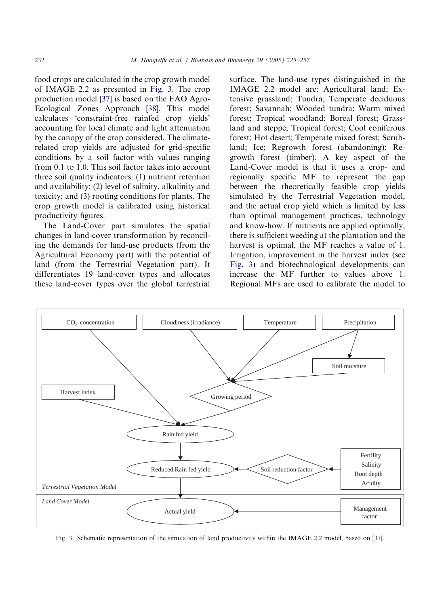<span id="page-7-0"></span>food crops are calculated in the crop growth model of IMAGE 2.2 as presented in Fig. 3. The crop production model [\[37\]](#page-31-0) is based on the FAO Agro-Ecological Zones Approach [\[38\].](#page-31-0) This model calculates 'constraint-free rainfed crop yields' accounting for local climate and light attenuation by the canopy of the crop considered. The climaterelated crop yields are adjusted for grid-specific conditions by a soil factor with values ranging from 0.1 to 1.0. This soil factor takes into account three soil quality indicators: (1) nutrient retention and availability; (2) level of salinity, alkalinity and toxicity; and (3) rooting conditions for plants. The crop growth model is calibrated using historical productivity figures.

The Land-Cover part simulates the spatial changes in land-cover transformation by reconciling the demands for land-use products (from the Agricultural Economy part) with the potential of land (from the Terrestrial Vegetation part). It differentiates 19 land-cover types and allocates these land-cover types over the global terrestrial surface. The land-use types distinguished in the IMAGE 2.2 model are: Agricultural land; Extensive grassland; Tundra; Temperate deciduous forest; Savannah; Wooded tundra; Warm mixed forest; Tropical woodland; Boreal forest; Grassland and steppe; Tropical forest; Cool coniferous forest; Hot desert; Temperate mixed forest; Scrubland; Ice; Regrowth forest (abandoning); Regrowth forest (timber). A key aspect of the Land-Cover model is that it uses a crop- and regionally specific MF to represent the gap between the theoretically feasible crop yields simulated by the Terrestrial Vegetation model, and the actual crop yield which is limited by less than optimal management practices, technology and know-how. If nutrients are applied optimally, there is sufficient weeding at the plantation and the harvest is optimal, the MF reaches a value of 1. Irrigation, improvement in the harvest index (see Fig. 3) and biotechnological developments can increase the MF further to values above 1. Regional MFs are used to calibrate the model to



Fig. 3. Schematic representation of the simulation of land productivity within the IMAGE 2.2 model, based on [\[37\].](#page-31-0)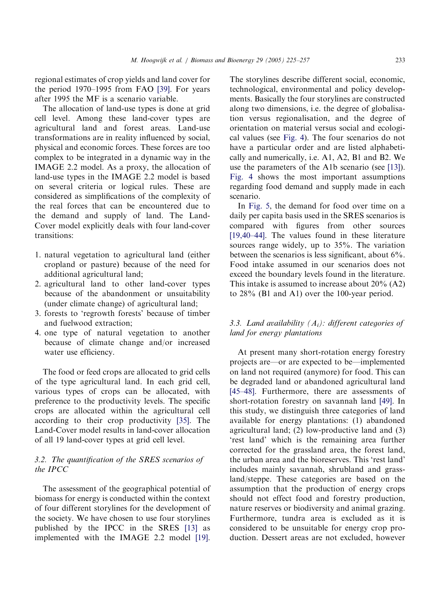regional estimates of crop yields and land cover for the period 1970–1995 from FAO [\[39\]](#page-31-0). For years after 1995 the MF is a scenario variable.

The allocation of land-use types is done at grid cell level. Among these land-cover types are agricultural land and forest areas. Land-use transformations are in reality influenced by social, physical and economic forces. These forces are too complex to be integrated in a dynamic way in the IMAGE 2.2 model. As a proxy, the allocation of land-use types in the IMAGE 2.2 model is based on several criteria or logical rules. These are considered as simplifications of the complexity of the real forces that can be encountered due to the demand and supply of land. The Land-Cover model explicitly deals with four land-cover transitions:

- 1. natural vegetation to agricultural land (either cropland or pasture) because of the need for additional agricultural land;
- 2. agricultural land to other land-cover types because of the abandonment or unsuitability (under climate change) of agricultural land;
- 3. forests to 'regrowth forests' because of timber and fuelwood extraction;
- 4. one type of natural vegetation to another because of climate change and/or increased water use efficiency.

The food or feed crops are allocated to grid cells of the type agricultural land. In each grid cell, various types of crops can be allocated, with preference to the productivity levels. The specific crops are allocated within the agricultural cell according to their crop productivity [\[35\]](#page-31-0). The Land-Cover model results in land-cover allocation of all 19 land-cover types at grid cell level.

# 3.2. The quantification of the SRES scenarios of the IPCC

The assessment of the geographical potential of biomass for energy is conducted within the context of four different storylines for the development of the society. We have chosen to use four storylines published by the IPCC in the SRES [\[13\]](#page-31-0) as implemented with the IMAGE 2.2 model [\[19\]](#page-31-0).

The storylines describe different social, economic, technological, environmental and policy developments. Basically the four storylines are constructed along two dimensions, i.e. the degree of globalisation versus regionalisation, and the degree of orientation on material versus social and ecological values (see [Fig. 4\)](#page-9-0). The four scenarios do not have a particular order and are listed alphabetically and numerically, i.e. A1, A2, B1 and B2. We use the parameters of the A1b scenario (see [\[13\]\)](#page-31-0). [Fig. 4](#page-9-0) shows the most important assumptions regarding food demand and supply made in each scenario.

In [Fig. 5,](#page-10-0) the demand for food over time on a daily per capita basis used in the SRES scenarios is compared with figures from other sources [\[19,40–44\].](#page-31-0) The values found in these literature sources range widely, up to 35%. The variation between the scenarios is less significant, about 6%. Food intake assumed in our scenarios does not exceed the boundary levels found in the literature. This intake is assumed to increase about 20% (A2) to 28% (B1 and A1) over the 100-year period.

# 3.3. Land availability  $(A_i)$ : different categories of land for energy plantations

At present many short-rotation energy forestry projects are—or are expected to be—implemented on land not required (anymore) for food. This can be degraded land or abandoned agricultural land [\[45–48\].](#page-32-0) Furthermore, there are assessments of short-rotation forestry on savannah land [\[49\].](#page-32-0) In this study, we distinguish three categories of land available for energy plantations: (1) abandoned agricultural land; (2) low-productive land and (3) 'rest land' which is the remaining area further corrected for the grassland area, the forest land, the urban area and the bioreserves. This 'rest land' includes mainly savannah, shrubland and grassland/steppe. These categories are based on the assumption that the production of energy crops should not effect food and forestry production, nature reserves or biodiversity and animal grazing. Furthermore, tundra area is excluded as it is considered to be unsuitable for energy crop production. Dessert areas are not excluded, however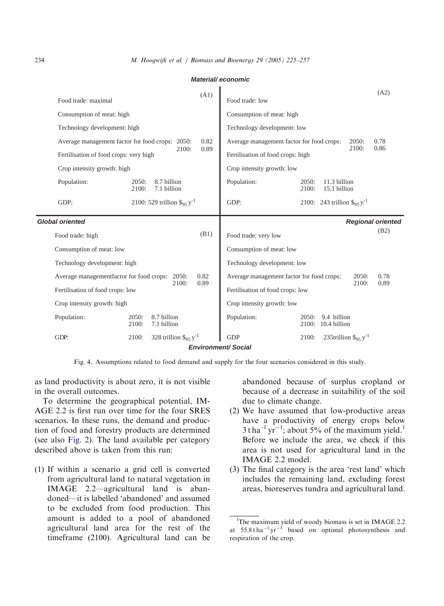<span id="page-9-0"></span>

| Food trade: maximal                             |                                                | (A1)         | Food trade: low                           |                                                |                                                | (A2)                     |  |  |  |
|-------------------------------------------------|------------------------------------------------|--------------|-------------------------------------------|------------------------------------------------|------------------------------------------------|--------------------------|--|--|--|
| Consumption of meat: high                       |                                                |              | Consumption of meat: high                 |                                                |                                                |                          |  |  |  |
| Technology development: high                    |                                                |              | Technology development: low               |                                                |                                                |                          |  |  |  |
| Average management factor for food crops: 2050: |                                                | 0.82         | Average management factor for food crops: |                                                | 2050:                                          | 0.78                     |  |  |  |
| Fertilisation of food crops: very high          | 2100:                                          | 0.89         | Fertilisation of food crops: high         |                                                | 2100:                                          | 0.86                     |  |  |  |
| Crop intensity growth: high                     |                                                |              | Crop intensity growth: low                |                                                |                                                |                          |  |  |  |
| Population:                                     | 2050:<br>8.7 billion<br>2100:<br>7.1 billion   |              | Population:                               | 2050:<br>11.3 billion<br>2100:<br>15.1 billion |                                                |                          |  |  |  |
| GDP:                                            | 2100: 529 trillion $\}_{95}$ y <sup>-1</sup>   |              | GDP:                                      | 2100: 243 trillion $\$_{95}$ y <sup>-1</sup>   |                                                |                          |  |  |  |
| <b>Global oriented</b>                          |                                                |              |                                           |                                                |                                                | <b>Regional oriented</b> |  |  |  |
| Food trade: high                                |                                                | (B1)         | Food trade: very low                      |                                                |                                                | (B2)                     |  |  |  |
| Consumption of meat: low                        |                                                |              | Consumption of meat: low                  |                                                |                                                |                          |  |  |  |
| Technology development: high                    |                                                |              | Technology development: low               |                                                |                                                |                          |  |  |  |
| Average management factor for food crops:       | 2050:<br>2100:                                 | 0.82<br>0.89 | Average management factor for food crops: | 2050:<br>2100:                                 | 0.78<br>0.89                                   |                          |  |  |  |
| Fertilisation of food crops: low                |                                                |              | Fertilisation of food crops: low          |                                                |                                                |                          |  |  |  |
| Crop intensity growth: high                     |                                                |              | Crop intensity growth: low                |                                                |                                                |                          |  |  |  |
| Population:                                     | 2050:<br>8.7 billion<br>2100:<br>7.1 billion   |              | Population:                               | 9.4 billion<br>2050:<br>2100: 10.4 billion     |                                                |                          |  |  |  |
| GDP:                                            | 328 trillion $S_{95}$ y <sup>-1</sup><br>2100: |              | <b>GDP</b>                                | 2100:                                          | 235trillion $\mathcal{S}_{95}$ y <sup>-1</sup> |                          |  |  |  |
|                                                 |                                                |              | <b>Environment/Social</b>                 |                                                |                                                |                          |  |  |  |

#### **Material/ economic**  $\mathbf{r}$

Fig. 4. Assumptions related to food demand and supply for the four scenarios considered in this study.

as land productivity is about zero, it is not visible in the overall outcomes.

To determine the geographical potential, IM-AGE 2.2 is first run over time for the four SRES scenarios. In these runs, the demand and production of food and forestry products are determined (see also [Fig. 2](#page-5-0)). The land available per category described above is taken from this run:

(1) If within a scenario a grid cell is converted from agricultural land to natural vegetation in IMAGE 2.2—agricultural land is abandoned—it is labelled 'abandoned' and assumed to be excluded from food production. This amount is added to a pool of abandoned agricultural land area for the rest of the timeframe (2100). Agricultural land can be abandoned because of surplus cropland or because of a decrease in suitability of the soil due to climate change.

- (2) We have assumed that low-productive areas have a productivity of energy crops below  $3$  t ha<sup>-1</sup> yr<sup>-1</sup>; about 5% of the maximum yield.<sup>1</sup> Before we include the area, we check if this area is not used for agricultural land in the IMAGE 2.2 model.
- (3) The final category is the area 'rest land' which includes the remaining land, excluding forest areas, bioreserves tundra and agricultural land.

<sup>&</sup>lt;sup>1</sup>The maximum yield of woody biomass is set in IMAGE 2.2 at  $55.8 \text{ tha}^{-1} \text{yr}^{-1}$  based on optimal photosynthesis and respiration of the crop.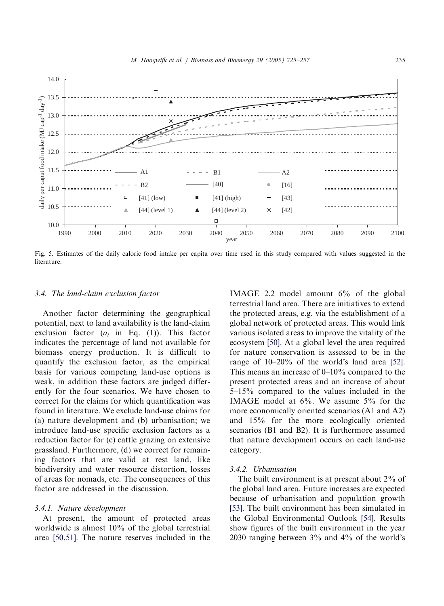<span id="page-10-0"></span>

Fig. 5. Estimates of the daily caloric food intake per capita over time used in this study compared with values suggested in the literature.

#### 3.4. The land-claim exclusion factor

Another factor determining the geographical potential, next to land availability is the land-claim exclusion factor  $(a_i$  in Eq. (1)). This factor indicates the percentage of land not available for biomass energy production. It is difficult to quantify the exclusion factor, as the empirical basis for various competing land-use options is weak, in addition these factors are judged differently for the four scenarios. We have chosen to correct for the claims for which quantification was found in literature. We exclude land-use claims for (a) nature development and (b) urbanisation; we introduce land-use specific exclusion factors as a reduction factor for (c) cattle grazing on extensive grassland. Furthermore, (d) we correct for remaining factors that are valid at rest land, like biodiversity and water resource distortion, losses of areas for nomads, etc. The consequences of this factor are addressed in the discussion.

#### 3.4.1. Nature development

At present, the amount of protected areas worldwide is almost 10% of the global terrestrial area [\[50,51\]](#page-32-0). The nature reserves included in the

IMAGE 2.2 model amount 6% of the global terrestrial land area. There are initiatives to extend the protected areas, e.g. via the establishment of a global network of protected areas. This would link various isolated areas to improve the vitality of the ecosystem [\[50\]](#page-32-0). At a global level the area required for nature conservation is assessed to be in the range of 10–20% of the world's land area [\[52\]](#page-32-0). This means an increase of 0–10% compared to the present protected areas and an increase of about 5–15% compared to the values included in the IMAGE model at 6%. We assume 5% for the more economically oriented scenarios (A1 and A2) and 15% for the more ecologically oriented scenarios (B1 and B2). It is furthermore assumed that nature development occurs on each land-use category.

#### 3.4.2. Urbanisation

The built environment is at present about 2% of the global land area. Future increases are expected because of urbanisation and population growth [\[53\]](#page-32-0). The built environment has been simulated in the Global Environmental Outlook [\[54\]](#page-32-0). Results show figures of the built environment in the year 2030 ranging between 3% and 4% of the world's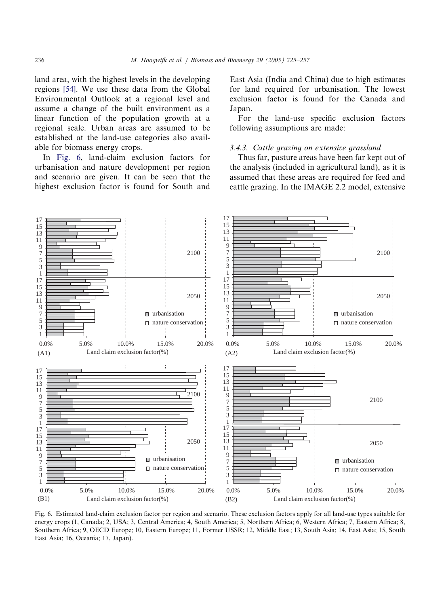land area, with the highest levels in the developing regions [\[54\].](#page-32-0) We use these data from the Global Environmental Outlook at a regional level and assume a change of the built environment as a linear function of the population growth at a regional scale. Urban areas are assumed to be established at the land-use categories also available for biomass energy crops.

In Fig. 6, land-claim exclusion factors for urbanisation and nature development per region and scenario are given. It can be seen that the highest exclusion factor is found for South and

East Asia (India and China) due to high estimates for land required for urbanisation. The lowest exclusion factor is found for the Canada and Japan.

For the land-use specific exclusion factors following assumptions are made:

#### 3.4.3. Cattle grazing on extensive grassland

Thus far, pasture areas have been far kept out of the analysis (included in agricultural land), as it is assumed that these areas are required for feed and cattle grazing. In the IMAGE 2.2 model, extensive



Fig. 6. Estimated land-claim exclusion factor per region and scenario. These exclusion factors apply for all land-use types suitable for energy crops (1, Canada; 2, USA; 3, Central America; 4, South America; 5, Northern Africa; 6, Western Africa; 7, Eastern Africa; 8, Southern Africa; 9, OECD Europe; 10, Eastern Europe; 11, Former USSR; 12, Middle East; 13, South Asia; 14, East Asia; 15, South East Asia; 16, Oceania; 17, Japan).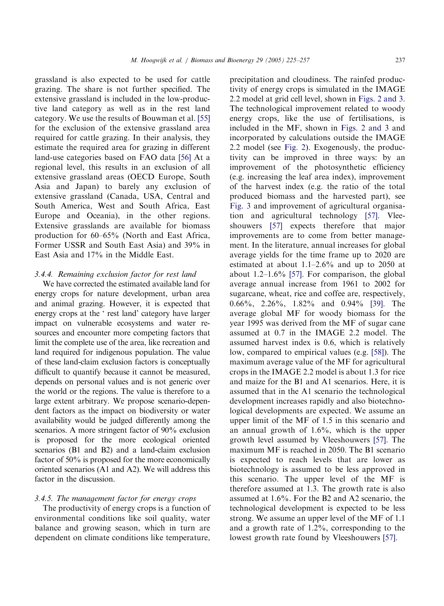grassland is also expected to be used for cattle grazing. The share is not further specified. The extensive grassland is included in the low-productive land category as well as in the rest land category. We use the results of Bouwman et al. [\[55\]](#page-32-0) for the exclusion of the extensive grassland area required for cattle grazing. In their analysis, they estimate the required area for grazing in different land-use categories based on FAO data [\[56\]](#page-32-0) At a regional level, this results in an exclusion of all extensive grassland areas (OECD Europe, South Asia and Japan) to barely any exclusion of extensive grassland (Canada, USA, Central and South America, West and South Africa, East Europe and Oceania), in the other regions. Extensive grasslands are available for biomass production for 60–65% (North and East Africa, Former USSR and South East Asia) and 39% in East Asia and 17% in the Middle East.

#### 3.4.4. Remaining exclusion factor for rest land

We have corrected the estimated available land for energy crops for nature development, urban area and animal grazing. However, it is expected that energy crops at the ' rest land' category have larger impact on vulnerable ecosystems and water resources and encounter more competing factors that limit the complete use of the area, like recreation and land required for indigenous population. The value of these land-claim exclusion factors is conceptually difficult to quantify because it cannot be measured, depends on personal values and is not generic over the world or the regions. The value is therefore to a large extent arbitrary. We propose scenario-dependent factors as the impact on biodiversity or water availability would be judged differently among the scenarios. A more stringent factor of 90% exclusion is proposed for the more ecological oriented scenarios (B1 and B2) and a land-claim exclusion factor of 50% is proposed for the more economically oriented scenarios (A1 and A2). We will address this factor in the discussion.

## 3.4.5. The management factor for energy crops

The productivity of energy crops is a function of environmental conditions like soil quality, water balance and growing season, which in turn are dependent on climate conditions like temperature, precipitation and cloudiness. The rainfed productivity of energy crops is simulated in the IMAGE 2.2 model at grid cell level, shown in [Figs. 2 and 3](#page-5-0). The technological improvement related to woody energy crops, like the use of fertilisations, is included in the MF, shown in [Figs. 2 and 3](#page-5-0) and incorporated by calculations outside the IMAGE 2.2 model (see [Fig. 2\)](#page-5-0). Exogenously, the productivity can be improved in three ways: by an improvement of the photosynthetic efficiency (e.g. increasing the leaf area index), improvement of the harvest index (e.g. the ratio of the total produced biomass and the harvested part), see [Fig. 3](#page-7-0) and improvement of agricultural organisation and agricultural technology [\[57\]](#page-32-0). Vleeshouwers [\[57\]](#page-32-0) expects therefore that major improvements are to come from better management. In the literature, annual increases for global average yields for the time frame up to 2020 are estimated at about 1.1–2.6% and up to 2050 at about 1.2–1.6% [\[57\]](#page-32-0). For comparison, the global average annual increase from 1961 to 2002 for sugarcane, wheat, rice and coffee are, respectively, 0.66%, 2.26%, 1.82% and 0.94% [\[39\]](#page-31-0). The average global MF for woody biomass for the year 1995 was derived from the MF of sugar cane assumed at 0.7 in the IMAGE 2.2 model. The assumed harvest index is 0.6, which is relatively low, compared to empirical values (e.g. [\[58\]\)](#page-32-0). The maximum average value of the MF for agricultural crops in the IMAGE 2.2 model is about 1.3 for rice and maize for the B1 and A1 scenarios. Here, it is assumed that in the A1 scenario the technological development increases rapidly and also biotechnological developments are expected. We assume an upper limit of the MF of 1.5 in this scenario and an annual growth of 1.6%, which is the upper growth level assumed by Vleeshouwers [\[57\]](#page-32-0). The maximum MF is reached in 2050. The B1 scenario is expected to reach levels that are lower as biotechnology is assumed to be less approved in this scenario. The upper level of the MF is therefore assumed at 1.3. The growth rate is also assumed at 1.6%. For the B2 and A2 scenario, the technological development is expected to be less strong. We assume an upper level of the MF of 1.1 and a growth rate of 1.2%, corresponding to the lowest growth rate found by Vleeshouwers [\[57\].](#page-32-0)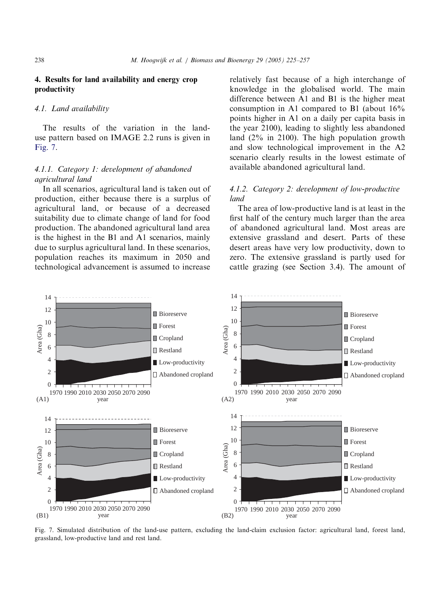## <span id="page-13-0"></span>4. Results for land availability and energy crop productivity

## 4.1. Land availability

The results of the variation in the landuse pattern based on IMAGE 2.2 runs is given in Fig. 7.

# 4.1.1. Category 1: development of abandoned agricultural land

In all scenarios, agricultural land is taken out of production, either because there is a surplus of agricultural land, or because of a decreased suitability due to climate change of land for food production. The abandoned agricultural land area is the highest in the B1 and A1 scenarios, mainly due to surplus agricultural land. In these scenarios, population reaches its maximum in 2050 and technological advancement is assumed to increase

relatively fast because of a high interchange of knowledge in the globalised world. The main difference between A1 and B1 is the higher meat consumption in A1 compared to B1 (about 16% points higher in A1 on a daily per capita basis in the year 2100), leading to slightly less abandoned land (2% in 2100). The high population growth and slow technological improvement in the A2 scenario clearly results in the lowest estimate of available abandoned agricultural land.

# 4.1.2. Category 2: development of low-productive land

The area of low-productive land is at least in the first half of the century much larger than the area of abandoned agricultural land. Most areas are extensive grassland and desert. Parts of these desert areas have very low productivity, down to zero. The extensive grassland is partly used for cattle grazing (see Section 3.4). The amount of



Fig. 7. Simulated distribution of the land-use pattern, excluding the land-claim exclusion factor: agricultural land, forest land, grassland, low-productive land and rest land.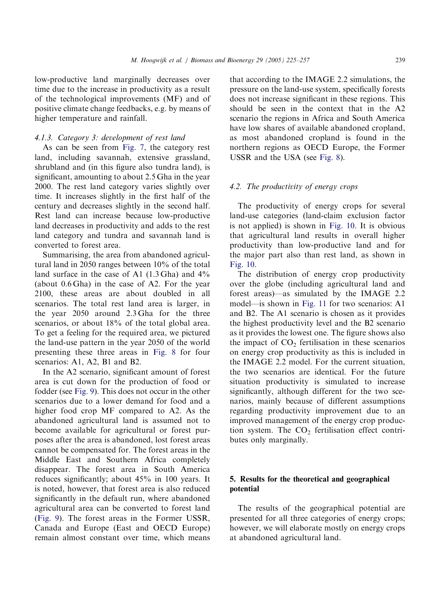low-productive land marginally decreases over time due to the increase in productivity as a result of the technological improvements (MF) and of positive climate change feedbacks, e.g. by means of higher temperature and rainfall.

## 4.1.3. Category 3: development of rest land

As can be seen from [Fig. 7,](#page-13-0) the category rest land, including savannah, extensive grassland, shrubland and (in this figure also tundra land), is significant, amounting to about 2.5 Gha in the year 2000. The rest land category varies slightly over time. It increases slightly in the first half of the century and decreases slightly in the second half. Rest land can increase because low-productive land decreases in productivity and adds to the rest land category and tundra and savannah land is converted to forest area.

Summarising, the area from abandoned agricultural land in 2050 ranges between 10% of the total land surface in the case of A1  $(1.3 \text{ Gha})$  and  $4\%$ (about 0.6 Gha) in the case of A2. For the year 2100, these areas are about doubled in all scenarios. The total rest land area is larger, in the year 2050 around 2.3 Gha for the three scenarios, or about 18% of the total global area. To get a feeling for the required area, we pictured the land-use pattern in the year 2050 of the world presenting these three areas in [Fig. 8](#page-15-0) for four scenarios: A1, A2, B1 and B2.

In the A2 scenario, significant amount of forest area is cut down for the production of food or fodder (see [Fig. 9\)](#page-17-0). This does not occur in the other scenarios due to a lower demand for food and a higher food crop MF compared to A2. As the abandoned agricultural land is assumed not to become available for agricultural or forest purposes after the area is abandoned, lost forest areas cannot be compensated for. The forest areas in the Middle East and Southern Africa completely disappear. The forest area in South America reduces significantly; about 45% in 100 years. It is noted, however, that forest area is also reduced significantly in the default run, where abandoned agricultural area can be converted to forest land ([Fig. 9\)](#page-17-0). The forest areas in the Former USSR, Canada and Europe (East and OECD Europe) remain almost constant over time, which means that according to the IMAGE 2.2 simulations, the pressure on the land-use system, specifically forests does not increase significant in these regions. This should be seen in the context that in the A2 scenario the regions in Africa and South America have low shares of available abandoned cropland, as most abandoned cropland is found in the northern regions as OECD Europe, the Former USSRand the USA (see [Fig. 8](#page-15-0)).

# 4.2. The productivity of energy crops

The productivity of energy crops for several land-use categories (land-claim exclusion factor is not applied) is shown in [Fig. 10.](#page-18-0) It is obvious that agricultural land results in overall higher productivity than low-productive land and for the major part also than rest land, as shown in [Fig. 10.](#page-18-0)

The distribution of energy crop productivity over the globe (including agricultural land and forest areas)—as simulated by the IMAGE 2.2 model—is shown in [Fig. 11](#page-19-0) for two scenarios: A1 and B2. The A1 scenario is chosen as it provides the highest productivity level and the B2 scenario as it provides the lowest one. The figure shows also the impact of  $CO<sub>2</sub>$  fertilisation in these scenarios on energy crop productivity as this is included in the IMAGE 2.2 model. For the current situation, the two scenarios are identical. For the future situation productivity is simulated to increase significantly, although different for the two scenarios, mainly because of different assumptions regarding productivity improvement due to an improved management of the energy crop production system. The  $CO<sub>2</sub>$  fertilisation effect contributes only marginally.

# 5. Results for the theoretical and geographical potential

The results of the geographical potential are presented for all three categories of energy crops; however, we will elaborate mostly on energy crops at abandoned agricultural land.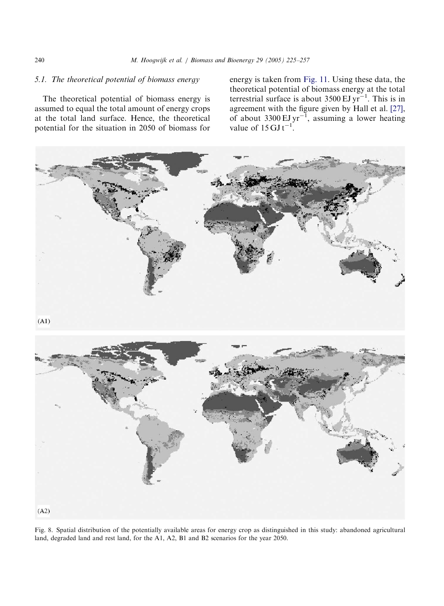# 5.1. The theoretical potential of biomass energy

The theoretical potential of biomass energy is assumed to equal the total amount of energy crops at the total land surface. Hence, the theoretical potential for the situation in 2050 of biomass for energy is taken from [Fig. 11.](#page-19-0) Using these data, the theoretical potential of biomass energy at the total terrestrial surface is about  $3500 \text{ EJ yr}^{-1}$ . This is in agreement with the figure given by Hall et al. [\[27\]](#page-31-0), of about 3300 EJ yr<sup>-1</sup>, assuming a lower heating value of  $15 \text{ GJ} t^{-1}$ .



Fig. 8. Spatial distribution of the potentially available areas for energy crop as distinguished in this study: abandoned agricultural land, degraded land and rest land, for the A1, A2, B1 and B2 scenarios for the year 2050.

<span id="page-15-0"></span>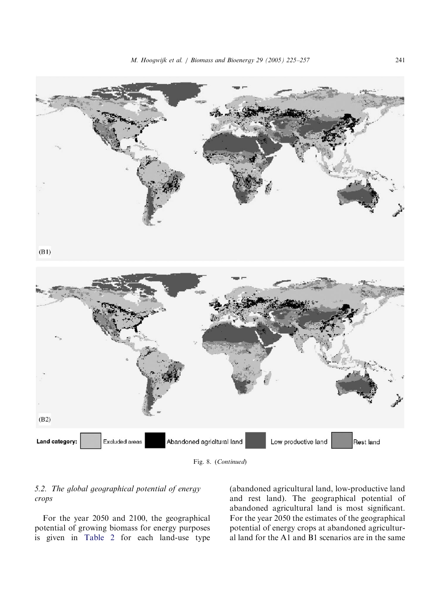

Fig. 8. (Continued)

# 5.2. The global geographical potential of energy crops

For the year 2050 and 2100, the geographical potential of growing biomass for energy purposes is given in [Table 2](#page-20-0) for each land-use type (abandoned agricultural land, low-productive land and rest land). The geographical potential of abandoned agricultural land is most significant. For the year 2050 the estimates of the geographical potential of energy crops at abandoned agricultural land for the A1 and B1 scenarios are in the same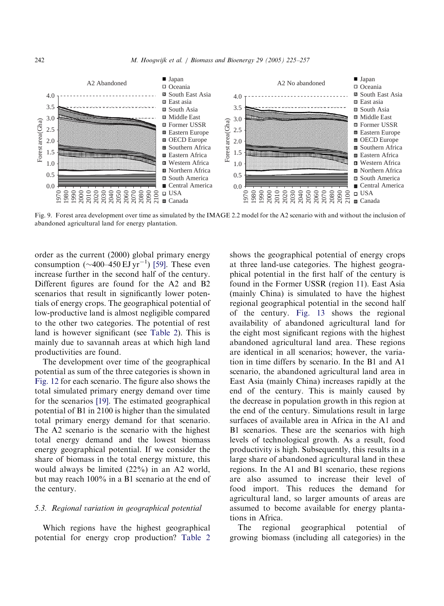<span id="page-17-0"></span>

Fig. 9. Forest area development over time as simulated by the IMAGE 2.2 model for the A2 scenario with and without the inclusion of abandoned agricultural land for energy plantation.

order as the current (2000) global primary energy consumption  $(\sim 400-450 \text{ EJ yr}^{-1})$  [\[59\]](#page-32-0). These even increase further in the second half of the century. Different figures are found for the A2 and B2 scenarios that result in significantly lower potentials of energy crops. The geographical potential of low-productive land is almost negligible compared to the other two categories. The potential of rest land is however significant (see [Table 2\)](#page-20-0). This is mainly due to savannah areas at which high land productivities are found.

The development over time of the geographical potential as sum of the three categories is shown in [Fig. 12](#page-21-0) for each scenario. The figure also shows the total simulated primary energy demand over time for the scenarios [\[19\]](#page-31-0). The estimated geographical potential of B1 in 2100 is higher than the simulated total primary energy demand for that scenario. The A2 scenario is the scenario with the highest total energy demand and the lowest biomass energy geographical potential. If we consider the share of biomass in the total energy mixture, this would always be limited (22%) in an A2 world, but may reach 100% in a B1 scenario at the end of the century.

## 5.3. Regional variation in geographical potential

Which regions have the highest geographical potential for energy crop production? [Table 2](#page-20-0) shows the geographical potential of energy crops at three land-use categories. The highest geographical potential in the first half of the century is found in the Former USSR(region 11). East Asia (mainly China) is simulated to have the highest regional geographical potential in the second half of the century. [Fig. 13](#page-22-0) shows the regional availability of abandoned agricultural land for the eight most significant regions with the highest abandoned agricultural land area. These regions are identical in all scenarios; however, the variation in time differs by scenario. In the B1 and A1 scenario, the abandoned agricultural land area in East Asia (mainly China) increases rapidly at the end of the century. This is mainly caused by the decrease in population growth in this region at the end of the century. Simulations result in large surfaces of available area in Africa in the A1 and B1 scenarios. These are the scenarios with high levels of technological growth. As a result, food productivity is high. Subsequently, this results in a large share of abandoned agricultural land in these regions. In the A1 and B1 scenario, these regions are also assumed to increase their level of food import. This reduces the demand for agricultural land, so larger amounts of areas are assumed to become available for energy plantations in Africa.

The regional geographical potential of growing biomass (including all categories) in the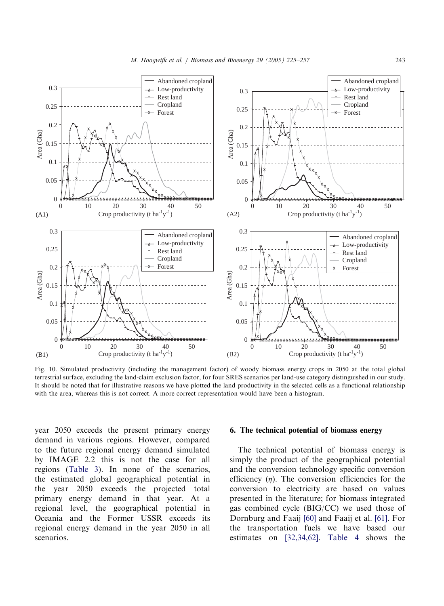<span id="page-18-0"></span>

Fig. 10. Simulated productivity (including the management factor) of woody biomass energy crops in 2050 at the total global terrestrial surface, excluding the land-claim exclusion factor, for four SRES scenarios per land-use category distinguished in our study. It should be noted that for illustrative reasons we have plotted the land productivity in the selected cells as a functional relationship with the area, whereas this is not correct. A more correct representation would have been a histogram.

year 2050 exceeds the present primary energy demand in various regions. However, compared to the future regional energy demand simulated by IMAGE 2.2 this is not the case for all regions [\(Table 3\)](#page-23-0). In none of the scenarios, the estimated global geographical potential in the year 2050 exceeds the projected total primary energy demand in that year. At a regional level, the geographical potential in Oceania and the Former USSR exceeds its regional energy demand in the year 2050 in all scenarios.

#### 6. The technical potential of biomass energy

The technical potential of biomass energy is simply the product of the geographical potential and the conversion technology specific conversion efficiency  $(\eta)$ . The conversion efficiencies for the conversion to electricity are based on values presented in the literature; for biomass integrated gas combined cycle (BIG/CC) we used those of Dornburg and Faaij [\[60\]](#page-32-0) and Faaij et al. [\[61\].](#page-32-0) For the transportation fuels we have based our estimates on [\[32,34,62\]](#page-31-0). [Table 4](#page-23-0) shows the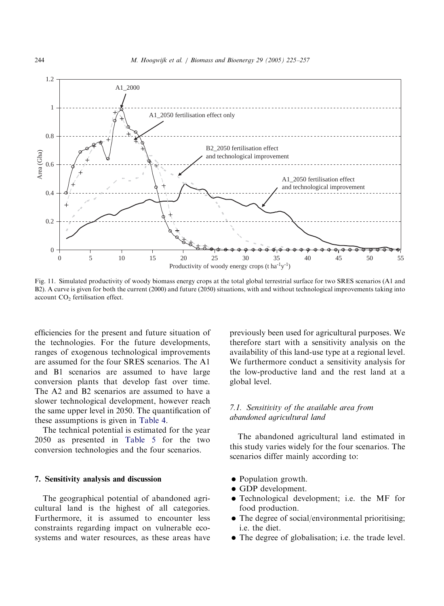

Fig. 11. Simulated productivity of woody biomass energy crops at the total global terrestrial surface for two SRES scenarios (A1 and B2). A curve is given for both the current (2000) and future (2050) situations, with and without technological improvements taking into account CO<sub>2</sub> fertilisation effect.

efficiencies for the present and future situation of the technologies. For the future developments, ranges of exogenous technological improvements are assumed for the four SRES scenarios. The A1 and B1 scenarios are assumed to have large conversion plants that develop fast over time. The A2 and B2 scenarios are assumed to have a slower technological development, however reach the same upper level in 2050. The quantification of these assumptions is given in [Table 4](#page-23-0).

The technical potential is estimated for the year 2050 as presented in [Table 5](#page-24-0) for the two conversion technologies and the four scenarios.

#### 7. Sensitivity analysis and discussion

The geographical potential of abandoned agricultural land is the highest of all categories. Furthermore, it is assumed to encounter less constraints regarding impact on vulnerable ecosystems and water resources, as these areas have previously been used for agricultural purposes. We therefore start with a sensitivity analysis on the availability of this land-use type at a regional level. We furthermore conduct a sensitivity analysis for the low-productive land and the rest land at a global level.

# 7.1. Sensitivity of the available area from abandoned agricultural land

The abandoned agricultural land estimated in this study varies widely for the four scenarios. The scenarios differ mainly according to:

- Population growth.
- GDP development.
- Technological development; i.e. the MF for food production.
- The degree of social/environmental prioritising; i.e. the diet.
- The degree of globalisation; i.e. the trade level.

<span id="page-19-0"></span>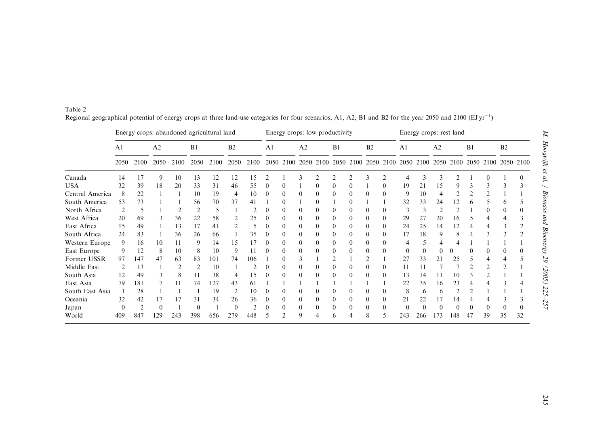|                 | Energy crops: abandoned agricultural land |                |                |      |                | Energy crops: low productivity |                |      |                |          | Energy crops: rest land |          |                |              |                |                                                                       |                |          |                |     |          |                |    |           |
|-----------------|-------------------------------------------|----------------|----------------|------|----------------|--------------------------------|----------------|------|----------------|----------|-------------------------|----------|----------------|--------------|----------------|-----------------------------------------------------------------------|----------------|----------|----------------|-----|----------|----------------|----|-----------|
|                 | A <sub>1</sub>                            |                | A <sub>2</sub> |      | B1             |                                | B <sub>2</sub> |      | A <sub>1</sub> |          | A <sub>2</sub>          |          | B1             |              | B <sub>2</sub> |                                                                       | A <sub>1</sub> |          | A <sub>2</sub> |     | B1       |                | B2 |           |
|                 | 2050                                      | 2100           | 2050           | 2100 | 2050           | 2100                           | 2050           | 2100 |                |          |                         |          |                |              |                | 2050 2100 2050 2100 2050 2100 2050 2100 2050 2100 2050 2100 2050 2100 |                |          |                |     |          |                |    | 2050 2100 |
| Canada          | 14                                        | 17             | 9              | 10   | 13             | 12                             | 12             | 15   |                |          |                         |          |                |              |                | $\mathcal{P}$                                                         |                |          |                |     |          |                |    | $\Omega$  |
| <b>USA</b>      | 32                                        | 39             | 18             | 20   | 33             | 31                             | 46             | 55   | $\theta$       | $\theta$ |                         | $\theta$ | $\theta$       | $\theta$     |                | $\theta$                                                              | 19             | 21       | 15             | 9   |          | 3              |    |           |
| Central America | 8                                         | 22             |                |      | 10             | 19                             | 4              | 10   | $\Omega$       | $\Omega$ | $\theta$                | $\theta$ | $\Omega$       | $\Omega$     | 0              | $\Omega$                                                              | 9              | 10       | 4              | ◠   |          |                |    |           |
| South America   | 53                                        | 73             |                |      | 56             | 70                             | 37             | 41   |                | $\Omega$ |                         | $\theta$ |                | $\theta$     |                |                                                                       | 32             | 33       | 24             | 12  | 6        | 5              |    |           |
| North Africa    |                                           | 5              |                |      | $\mathfrak{D}$ | 5                              |                |      |                | $\Omega$ | 0                       | 0        | $\Omega$       | 0            | 0              | $\Omega$                                                              | 3              | 3        |                |     |          |                |    |           |
| West Africa     | 20                                        | 69             |                | 36   | 22             | 58                             |                | 25   | $\theta$       | $\theta$ | 0                       | $\theta$ | $\theta$       | $\theta$     | 0              | $\theta$                                                              | 29             | 27       | 20             | 16  | 5        | 4              |    |           |
| East Africa     | 15                                        | 49             |                | 13   | 17             | 41                             |                | 5    | $\Omega$       | 0        | $\theta$                | $\theta$ | $\Omega$       | $\theta$     | $\theta$       | $\theta$                                                              | 24             | 25       | 14             | 12  |          |                |    |           |
| South Africa    | 24                                        | 83             |                | 36   | 26             | 66                             |                | 35   | $\theta$       | 0        | $\mathbf{0}$            | $\theta$ | $\theta$       | $\mathbf{0}$ | 0              | $\theta$                                                              | 17             | 18       | 9              | 8   |          |                |    |           |
| Western Europe  | 9                                         | 16             | 10             | 11   | 9              | 14                             | 15             | 17   | $\theta$       | $\theta$ | $\mathbf{0}$            | $\theta$ | $\theta$       | $\mathbf{0}$ | $\theta$       | $\theta$                                                              | 4              | 5        | 4              | 4   |          |                |    |           |
| East Europe     | 9                                         | 12             | 8              | 10   | 8              | 10                             | 9              |      | $\mathcal{L}$  | $\theta$ | 0                       | $\theta$ | $\theta$       | 0            | 0              | $\Omega$                                                              | $\theta$       | $\theta$ | $\Omega$       |     | $^{(1)}$ |                |    |           |
| Former USSR     | 97                                        | 147            | 47             | 63   | 83             | 101                            | 74             | 106  |                |          | 3                       |          | $\overline{c}$ |              | 2              |                                                                       | 27             | 33       | 21             | 25  | 5        |                |    |           |
| Middle East     | 2                                         | 13             |                | 2    | $\overline{2}$ | 10                             |                | ◠    |                | 0        |                         | $\Omega$ | $\theta$       | 0            | 0              | $\theta$                                                              | 11             | 11       |                |     |          |                |    |           |
| South Asia      | 12                                        | 49             |                | 8    | 11             | 38                             | 4              | 15   | $\theta$       | $\Omega$ | 0                       | $\theta$ | $\theta$       | $\Omega$     | $\theta$       | $\theta$                                                              | 13             | 14       | 11             | 10  | 3        | $\overline{2}$ |    |           |
| East Asia       | 79                                        | 181            |                | 11   | 74             | 127                            | 43             | 61   |                |          |                         |          |                |              |                |                                                                       | 22             | 35       | 16             | 23  |          |                |    |           |
| South East Asia |                                           | 28             |                |      |                | 19                             | $\overline{2}$ | 10   | $\theta$       | 0        | $\Omega$                | $\theta$ | $\Omega$       | $\theta$     | $\theta$       | $\theta$                                                              | 8              | 6        | 6              | C   |          |                |    |           |
| Oceania         | 32                                        | 42             | 17             | 17   | 31             | 34                             | 26             | 36   | $\theta$       | $\theta$ | $\theta$                | $\theta$ | $\theta$       | $\theta$     | 0              | $\theta$                                                              | 21             | 22       | 17             | 14  |          |                |    |           |
| Japan           |                                           | $\overline{2}$ | $\theta$       |      | $\theta$       |                                | $\theta$       | 2    | $\Omega$       | $\Omega$ | 0                       | $\theta$ | $\theta$       | 0            | $\theta$       | $\Omega$                                                              | $\Omega$       |          |                |     |          |                |    |           |
| World           | 409                                       | 847            | 129            | 243  | 398            | 656                            | 279            | 448  |                | ◠        | q                       |          |                |              | 8              |                                                                       | 243            | 266      | 173            | 148 | 47       | 39             | 35 | 32        |

<span id="page-20-0"></span>Table 2 Regional geographical potential of energy crops at three land-use categories for four scenarios, A1, A2, B1 and B2 for the year 2050 and 2100 (EJ yr<sup>-1</sup>)

M. Hoogwijk et al.  $/$  Biomass and Bioenergy 29 (2005) 225–257

M. Hoogwijk et al. / Biomass and Bioenergy 29 (2005) 225-257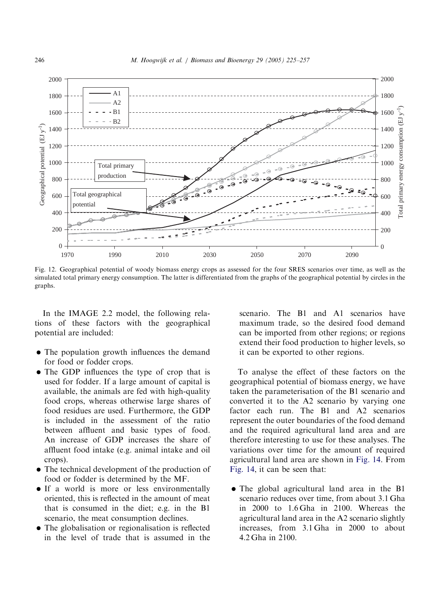

Fig. 12. Geographical potential of woody biomass energy crops as assessed for the four SRES scenarios over time, as well as the simulated total primary energy consumption. The latter is differentiated from the graphs of the geographical potential by circles in the graphs.

In the IMAGE 2.2 model, the following relations of these factors with the geographical potential are included:

- The population growth influences the demand for food or fodder crops.
- The GDP influences the type of crop that is used for fodder. If a large amount of capital is available, the animals are fed with high-quality food crops, whereas otherwise large shares of food residues are used. Furthermore, the GDP is included in the assessment of the ratio between affluent and basic types of food. An increase of GDP increases the share of affluent food intake (e.g. animal intake and oil crops).
- The technical development of the production of food or fodder is determined by the MF.
- If a world is more or less environmentally oriented, this is reflected in the amount of meat that is consumed in the diet; e.g. in the B1 scenario, the meat consumption declines.
- The globalisation or regionalisation is reflected in the level of trade that is assumed in the

scenario. The B1 and A1 scenarios have maximum trade, so the desired food demand can be imported from other regions; or regions extend their food production to higher levels, so it can be exported to other regions.

To analyse the effect of these factors on the geographical potential of biomass energy, we have taken the parameterisation of the B1 scenario and converted it to the A2 scenario by varying one factor each run. The B1 and A2 scenarios represent the outer boundaries of the food demand and the required agricultural land area and are therefore interesting to use for these analyses. The variations over time for the amount of required agricultural land area are shown in [Fig. 14.](#page-24-0) From [Fig. 14,](#page-24-0) it can be seen that:

 The global agricultural land area in the B1 scenario reduces over time, from about 3.1 Gha in 2000 to 1.6 Gha in 2100. Whereas the agricultural land area in the A2 scenario slightly increases, from 3.1 Gha in 2000 to about 4.2 Gha in 2100.

<span id="page-21-0"></span>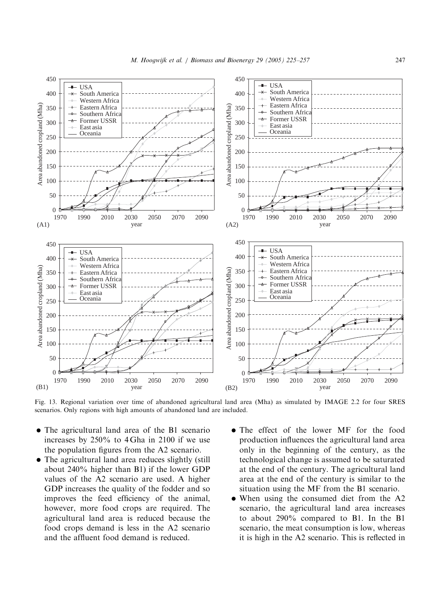<span id="page-22-0"></span>

Fig. 13. Regional variation over time of abandoned agricultural land area (Mha) as simulated by IMAGE 2.2 for four SRES scenarios. Only regions with high amounts of abandoned land are included.

- The agricultural land area of the B1 scenario increases by 250% to 4 Gha in 2100 if we use the population figures from the A2 scenario.
- The agricultural land area reduces slightly (still about 240% higher than B1) if the lower GDP values of the A2 scenario are used. A higher GDP increases the quality of the fodder and so improves the feed efficiency of the animal, however, more food crops are required. The agricultural land area is reduced because the food crops demand is less in the A2 scenario and the affluent food demand is reduced.
- The effect of the lower MF for the food production influences the agricultural land area only in the beginning of the century, as the technological change is assumed to be saturated at the end of the century. The agricultural land area at the end of the century is similar to the situation using the MF from the B1 scenario.
- When using the consumed diet from the A2 scenario, the agricultural land area increases to about 290% compared to B1. In the B1 scenario, the meat consumption is low, whereas it is high in the A2 scenario. This is reflected in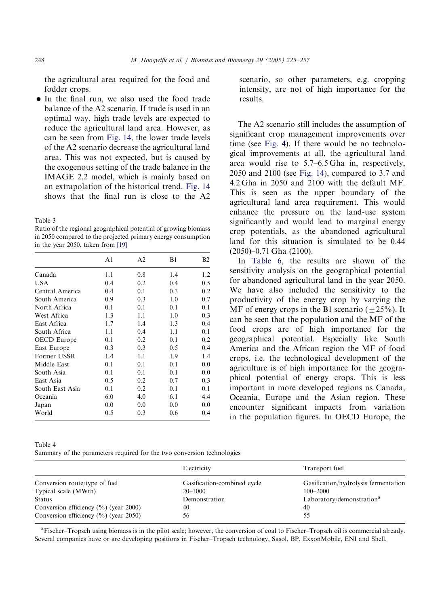<span id="page-23-0"></span>the agricultural area required for the food and fodder crops.

• In the final run, we also used the food trade balance of the A2 scenario. If trade is used in an optimal way, high trade levels are expected to reduce the agricultural land area. However, as can be seen from [Fig. 14,](#page-24-0) the lower trade levels of the A2 scenario decrease the agricultural land area. This was not expected, but is caused by the exogenous setting of the trade balance in the IMAGE 2.2 model, which is mainly based on an extrapolation of the historical trend. [Fig. 14](#page-24-0) shows that the final run is close to the A2

Table 3

Ratio of the regional geographical potential of growing biomass in 2050 compared to the projected primary energy consumption in the year 2050, taken from [\[19\]](#page-31-0)

|                    | A1  | A2  | B1  | <b>B2</b> |
|--------------------|-----|-----|-----|-----------|
| Canada             | 1.1 | 0.8 | 1.4 | 1.2       |
| <b>USA</b>         | 0.4 | 0.2 | 0.4 | 0.5       |
| Central America    | 0.4 | 0.1 | 0.3 | 0.2       |
| South America      | 0.9 | 0.3 | 1.0 | 0.7       |
| North Africa       | 0.1 | 0.1 | 0.1 | 0.1       |
| West Africa        | 1.3 | 1.1 | 1.0 | 0.3       |
| East Africa        | 1.7 | 1.4 | 1.3 | 0.4       |
| South Africa       | 1.1 | 0.4 | 1.1 | 0.1       |
| <b>OECD</b> Europe | 0.1 | 0.2 | 0.1 | 0.2       |
| East Europe        | 0.3 | 0.3 | 0.5 | 0.4       |
| Former USSR        | 1.4 | 1.1 | 1.9 | 1.4       |
| Middle East        | 0.1 | 0.1 | 0.1 | 0.0       |
| South Asia         | 0.1 | 0.1 | 0.1 | 0.0       |
| East Asia          | 0.5 | 0.2 | 0.7 | 0.3       |
| South East Asia    | 0.1 | 0.2 | 0.1 | 0.1       |
| Oceania            | 6.0 | 4.0 | 6.1 | 4.4       |
| Japan              | 0.0 | 0.0 | 0.0 | 0.0       |
| World              | 0.5 | 0.3 | 0.6 | 0.4       |

Table 4

Summary of the parameters required for the two conversion technologies

scenario, so other parameters, e.g. cropping intensity, are not of high importance for the results.

The A2 scenario still includes the assumption of significant crop management improvements over time (see [Fig. 4](#page-9-0)). If there would be no technological improvements at all, the agricultural land area would rise to 5.7–6.5 Gha in, respectively, 2050 and 2100 (see [Fig. 14](#page-24-0)), compared to 3.7 and 4.2 Gha in 2050 and 2100 with the default MF. This is seen as the upper boundary of the agricultural land area requirement. This would enhance the pressure on the land-use system significantly and would lead to marginal energy crop potentials, as the abandoned agricultural land for this situation is simulated to be 0.44 (2050)–0.71 Gha (2100).

In [Table 6](#page-25-0), the results are shown of the sensitivity analysis on the geographical potential for abandoned agricultural land in the year 2050. We have also included the sensitivity to the productivity of the energy crop by varying the MF of energy crops in the B1 scenario  $(\pm 25\%)$ . It can be seen that the population and the MF of the food crops are of high importance for the geographical potential. Especially like South America and the African region the MF of food crops, i.e. the technological development of the agriculture is of high importance for the geographical potential of energy crops. This is less important in more developed regions as Canada, Oceania, Europe and the Asian region. These encounter significant impacts from variation in the population figures. In OECD Europe, the

|                                           | Electricity                 | Transport fuel                        |  |  |  |
|-------------------------------------------|-----------------------------|---------------------------------------|--|--|--|
| Conversion route/type of fuel             | Gasification-combined cycle | Gasification/hydrolysis fermentation  |  |  |  |
| Typical scale (MWth)                      | $20 - 1000$                 | $100 - 2000$                          |  |  |  |
| <b>Status</b>                             | Demonstration               | Laboratory/demonstration <sup>a</sup> |  |  |  |
| Conversion efficiency $(\% )$ (year 2000) | 40                          | 40                                    |  |  |  |
| Conversion efficiency $(\% )$ (year 2050) | 56                          |                                       |  |  |  |

a Fischer–Tropsch using biomass is in the pilot scale; however, the conversion of coal to Fischer–Tropsch oil is commercial already. Several companies have or are developing positions in Fischer–Tropsch technology, Sasol, BP, ExxonMobile, ENI and Shell.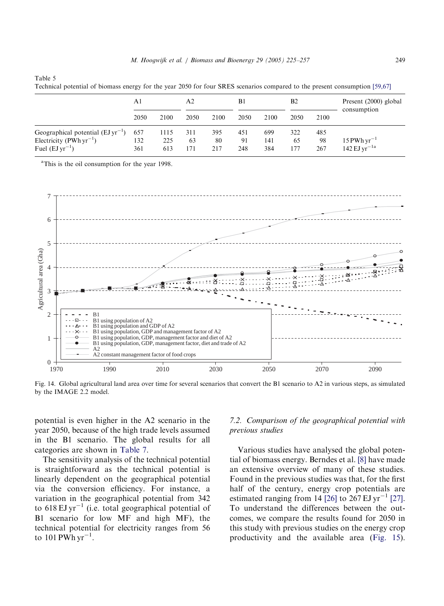|                                                                                            | Al                |                    | A <sub>2</sub>   |                  | B1               |                   |                  |                  | Present (2000) global<br>consumption                            |  |
|--------------------------------------------------------------------------------------------|-------------------|--------------------|------------------|------------------|------------------|-------------------|------------------|------------------|-----------------------------------------------------------------|--|
|                                                                                            | 2050              | 2100               | 2050             | 2100             | 2050             | 2100              | 2050             | 2100             |                                                                 |  |
| Geographical potential $(EJyr^{-1})$<br>Electricity (PWh $yr^{-1}$ )<br>Fuel $(EJyr^{-1})$ | 657<br>132<br>361 | 1115<br>225<br>613 | 311<br>63<br>171 | 395<br>80<br>217 | 451<br>91<br>248 | 699<br>141<br>384 | 322<br>65<br>177 | 485<br>98<br>267 | $15$ PWh yr <sup>-1</sup><br>$142 \mathrm{EJ} \mathrm{yr}^{-1}$ |  |

Technical potential of biomass energy for the year 2050 for four SRES scenarios compared to the present consumption [\[59,67\]](#page-32-0)

<sup>a</sup>This is the oil consumption for the year 1998.

<span id="page-24-0"></span>Table 5



Fig. 14. Global agricultural land area over time for several scenarios that convert the B1 scenario to A2 in various steps, as simulated by the IMAGE 2.2 model.

potential is even higher in the A2 scenario in the year 2050, because of the high trade levels assumed in the B1 scenario. The global results for all categories are shown in [Table 7.](#page-26-0)

The sensitivity analysis of the technical potential is straightforward as the technical potential is linearly dependent on the geographical potential via the conversion efficiency. For instance, a variation in the geographical potential from 342 to  $618 \mathrm{EJyr}^{-1}$  (i.e. total geographical potential of B1 scenario for low MF and high MF), the technical potential for electricity ranges from 56 to 101 PWh  $yr^{-1}$ .

# 7.2. Comparison of the geographical potential with previous studies

Various studies have analysed the global potential of biomass energy. Berndes et al. [\[8\]](#page-30-0) have made an extensive overview of many of these studies. Found in the previous studies was that, for the first half of the century, energy crop potentials are estimated ranging from 14 [\[26\]](#page-31-0) to 267 EJ yr<sup>-1</sup> [\[27\]](#page-31-0). To understand the differences between the outcomes, we compare the results found for 2050 in this study with previous studies on the energy crop productivity and the available area ([Fig. 15\)](#page-27-0).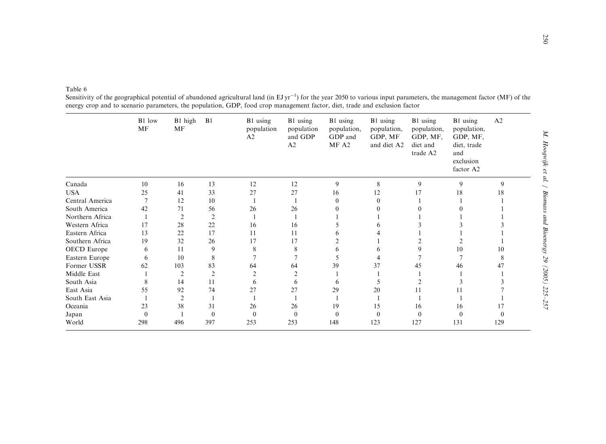<span id="page-25-0"></span>Table 6

Sensitivity of the geographical potential of abandoned agricultural land (in  $EJyr^{-1}$ ) for the year 2050 to various input parameters, the management factor (MF) of the energy crop and to scenario parameters, the population, GDP, food crop management factor, diet, trade and exclusion factor

|                 | B1 low<br>MF | B1 high<br>MF  | B1             | B1 using<br>population<br>A2 | B1 using<br>population<br>and GDP<br>A <sub>2</sub> | B1 using<br>population,<br>GDP and<br>MF A2 | B1 using<br>population,<br>GDP, MF<br>and diet A2 | B1 using<br>population,<br>GDP, MF,<br>diet and<br>trade A2 | B1 using<br>population,<br>GDP, MF,<br>diet, trade<br>and<br>exclusion<br>factor A2 | A2  |
|-----------------|--------------|----------------|----------------|------------------------------|-----------------------------------------------------|---------------------------------------------|---------------------------------------------------|-------------------------------------------------------------|-------------------------------------------------------------------------------------|-----|
| Canada          | 10           | 16             | 13             | 12                           | 12                                                  | 9                                           | 8                                                 | 9                                                           | 9                                                                                   | 9   |
| <b>USA</b>      | 25           | 41             | 33             | 27                           | 27                                                  | 16                                          | 12                                                | 17                                                          | 18                                                                                  | 18  |
| Central America | 7            | 12             | 10             |                              |                                                     | 0                                           | $\theta$                                          |                                                             |                                                                                     |     |
| South America   | 42           | 71             | 56             | 26                           | 26                                                  |                                             | $\Omega$                                          |                                                             |                                                                                     |     |
| Northern Africa |              | $\overline{2}$ | $\overline{2}$ |                              |                                                     |                                             |                                                   |                                                             |                                                                                     |     |
| Western Africa  | 17           | 28             | 22             | 16                           | 16                                                  |                                             |                                                   |                                                             |                                                                                     |     |
| Eastern Africa  | 13           | 22             | 17             | 11                           | 11                                                  |                                             |                                                   |                                                             |                                                                                     |     |
| Southern Africa | 19           | 32             | 26             | 17                           | 17                                                  |                                             |                                                   |                                                             |                                                                                     |     |
| OECD Europe     | 6            | 11             | 9              | 8                            | 8                                                   |                                             | h                                                 |                                                             | 10                                                                                  | 10  |
| Eastern Europe  | 6            | 10             | 8              |                              |                                                     |                                             |                                                   |                                                             |                                                                                     | 8   |
| Former USSR     | 62           | 103            | 83             | 64                           | 64                                                  | 39                                          | 37                                                | 45                                                          | 46                                                                                  | 47  |
| Middle East     |              | $\overline{2}$ | $\overline{2}$ | $\overline{2}$               | 2                                                   |                                             |                                                   |                                                             |                                                                                     |     |
| South Asia      | 8            | 14             | 11             | 6                            | 6                                                   | 6                                           |                                                   |                                                             |                                                                                     |     |
| East Asia       | 55           | 92             | 74             | 27                           | 27                                                  | 29                                          | 20                                                | 11                                                          | 11                                                                                  |     |
| South East Asia |              | $\overline{c}$ |                |                              |                                                     |                                             |                                                   |                                                             |                                                                                     |     |
| Oceania         | 23           | 38             | 31             | 26                           | 26                                                  | 19                                          | 15                                                | 16                                                          | 16                                                                                  |     |
| Japan           | 0            |                | $\Omega$       | $\theta$                     | $\Omega$                                            | $\Omega$                                    | $\Omega$                                          | $\mathbf{0}$                                                | $\Omega$                                                                            |     |
| World           | 298          | 496            | 397            | 253                          | 253                                                 | 148                                         | 123                                               | 127                                                         | 131                                                                                 | 129 |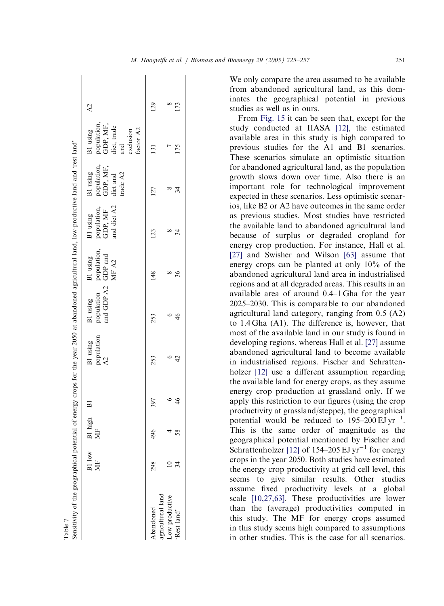<span id="page-26-0"></span>

 $\overline{1}$ 

 $\mathbf{r}$ 

Table 7

We only compare the area assumed to be available from abandoned agricultural land, as this dominates the geographical potential in previous studies as well as in ours.

From [Fig. 15](#page-27-0) it can be seen that, except for the study conducted at IIASA [\[12\]](#page-31-0), the estimated available area in this study is high compared to previous studies for the A1 and B1 scenarios. These scenarios simulate an optimistic situation for abandoned agricultural land, as the population growth slows down over time. Also there is an important role for technological improvement expected in these scenarios. Less optimistic scenarios, like B2 or A2 have outcomes in the same order as previous studies. Most studies have restricted the available land to abandoned agricultural land because of surplus or degraded cropland for energy crop production. For instance, Hall et al. [\[27\]](#page-31-0) and Swisher and Wilson [\[63\]](#page-32-0) assume that energy crops can be planted at only 10% of the abandoned agricultural land area in industrialised regions and at all degraded areas. This results in an available area of around 0.4–1 Gha for the year 2025–2030. This is comparable to our abandoned agricultural land category, ranging from 0.5 (A2) to 1.4 Gha (A1). The difference is, however, that most of the available land in our study is found in developing regions, whereas Hall et al. [\[27\]](#page-31-0) assume abandoned agricultural land to become available in industrialised regions. Fischer and Schratten-holzer [\[12\]](#page-31-0) use a different assumption regarding the available land for energy crops, as they assume energy crop production at grassland only. If we apply this restriction to our figures (using the crop productivity at grassland/steppe), the geographical potential would be reduced to  $195-200 \text{ EJ yr}^{-1}$ . This is the same order of magnitude as the geographical potential mentioned by Fischer and Schrattenholzer [\[12\]](#page-31-0) of 154–205 EJ yr<sup>-1</sup> for energy crops in the year 2050. Both studies have estimated the energy crop productivity at grid cell level, this seems to give similar results. Other studies assume fixed productivity levels at a global scale [\[10,27,63\]](#page-30-0). These productivities are lower than the (average) productivities computed in this study. The MF for energy crops assumed in this study seems high compared to assumptions in other studies. This is the case for all scenarios.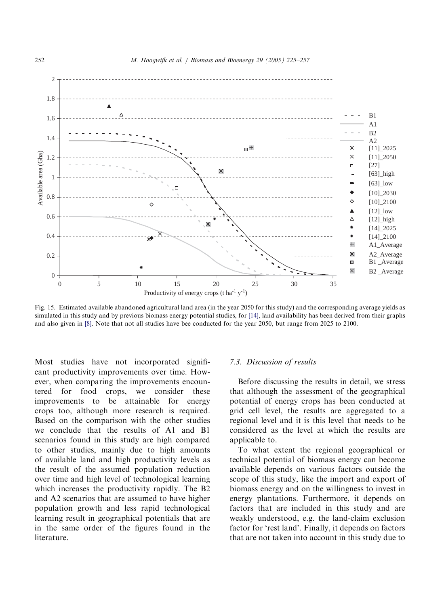<span id="page-27-0"></span>

Fig. 15. Estimated available abandoned agricultural land area (in the year 2050 for this study) and the corresponding average yields as simulated in this study and by previous biomass energy potential studies, for [\[14\]](#page-31-0), land availability has been derived from their graphs and also given in [\[8\]](#page-30-0). Note that not all studies have bee conducted for the year 2050, but range from 2025 to 2100.

Most studies have not incorporated significant productivity improvements over time. However, when comparing the improvements encountered for food crops, we consider these improvements to be attainable for energy crops too, although more research is required. Based on the comparison with the other studies we conclude that the results of A1 and B1 scenarios found in this study are high compared to other studies, mainly due to high amounts of available land and high productivity levels as the result of the assumed population reduction over time and high level of technological learning which increases the productivity rapidly. The B2 and A2 scenarios that are assumed to have higher population growth and less rapid technological learning result in geographical potentials that are in the same order of the figures found in the literature.

#### 7.3. Discussion of results

Before discussing the results in detail, we stress that although the assessment of the geographical potential of energy crops has been conducted at grid cell level, the results are aggregated to a regional level and it is this level that needs to be considered as the level at which the results are applicable to.

To what extent the regional geographical or technical potential of biomass energy can become available depends on various factors outside the scope of this study, like the import and export of biomass energy and on the willingness to invest in energy plantations. Furthermore, it depends on factors that are included in this study and are weakly understood, e.g. the land-claim exclusion factor for 'rest land'. Finally, it depends on factors that are not taken into account in this study due to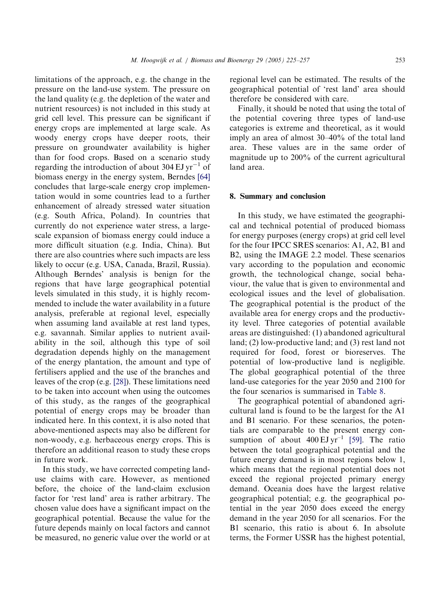limitations of the approach, e.g. the change in the pressure on the land-use system. The pressure on the land quality (e.g. the depletion of the water and nutrient resources) is not included in this study at grid cell level. This pressure can be significant if energy crops are implemented at large scale. As woody energy crops have deeper roots, their pressure on groundwater availability is higher than for food crops. Based on a scenario study regarding the introduction of about 304 EJ  $yr^{-1}$  of biomass energy in the energy system, Berndes [\[64\]](#page-32-0) concludes that large-scale energy crop implementation would in some countries lead to a further enhancement of already stressed water situation (e.g. South Africa, Poland). In countries that currently do not experience water stress, a largescale expansion of biomass energy could induce a more difficult situation (e.g. India, China). But there are also countries where such impacts are less likely to occur (e.g. USA, Canada, Brazil, Russia). Although Berndes' analysis is benign for the regions that have large geographical potential levels simulated in this study, it is highly recommended to include the water availability in a future analysis, preferable at regional level, especially when assuming land available at rest land types, e.g. savannah. Similar applies to nutrient availability in the soil, although this type of soil degradation depends highly on the management of the energy plantation, the amount and type of fertilisers applied and the use of the branches and leaves of the crop (e.g. [\[28\]](#page-31-0)). These limitations need to be taken into account when using the outcomes of this study, as the ranges of the geographical potential of energy crops may be broader than indicated here. In this context, it is also noted that above-mentioned aspects may also be different for non-woody, e.g. herbaceous energy crops. This is therefore an additional reason to study these crops in future work.

In this study, we have corrected competing landuse claims with care. However, as mentioned before, the choice of the land-claim exclusion factor for 'rest land' area is rather arbitrary. The chosen value does have a significant impact on the geographical potential. Because the value for the future depends mainly on local factors and cannot be measured, no generic value over the world or at regional level can be estimated. The results of the geographical potential of 'rest land' area should therefore be considered with care.

Finally, it should be noted that using the total of the potential covering three types of land-use categories is extreme and theoretical, as it would imply an area of almost 30–40% of the total land area. These values are in the same order of magnitude up to 200% of the current agricultural land area.

#### 8. Summary and conclusion

In this study, we have estimated the geographical and technical potential of produced biomass for energy purposes (energy crops) at grid cell level for the four IPCC SRES scenarios: A1, A2, B1 and B2, using the IMAGE 2.2 model. These scenarios vary according to the population and economic growth, the technological change, social behaviour, the value that is given to environmental and ecological issues and the level of globalisation. The geographical potential is the product of the available area for energy crops and the productivity level. Three categories of potential available areas are distinguished: (1) abandoned agricultural land; (2) low-productive land; and (3) rest land not required for food, forest or bioreserves. The potential of low-productive land is negligible. The global geographical potential of the three land-use categories for the year 2050 and 2100 for the four scenarios is summarised in [Table 8](#page-29-0).

The geographical potential of abandoned agricultural land is found to be the largest for the A1 and B1 scenario. For these scenarios, the potentials are comparable to the present energy consumption of about  $400 \text{ EJ yr}^{-1}$  [\[59\].](#page-32-0) The ratio between the total geographical potential and the future energy demand is in most regions below 1, which means that the regional potential does not exceed the regional projected primary energy demand. Oceania does have the largest relative geographical potential; e.g. the geographical potential in the year 2050 does exceed the energy demand in the year 2050 for all scenarios. For the B1 scenario, this ratio is about 6. In absolute terms, the Former USSR has the highest potential,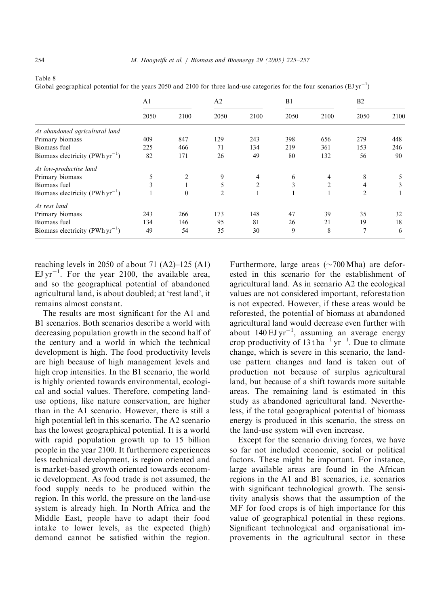<span id="page-29-0"></span>

|                                      | A <sub>1</sub> |              | A <sub>2</sub> |                | B1   |                | B <sub>2</sub> |      |
|--------------------------------------|----------------|--------------|----------------|----------------|------|----------------|----------------|------|
|                                      | 2050           | 2100         | 2050           | 2100           | 2050 | 2100           | 2050           | 2100 |
| At abandoned agricultural land       |                |              |                |                |      |                |                |      |
| Primary biomass                      | 409            | 847          | 129            | 243            | 398  | 656            | 279            | 448  |
| Biomass fuel                         | 225            | 466          | 71             | 134            | 219  | 361            | 153            | 246  |
| Biomass electricity (PWh $yr^{-1}$ ) | 82             | 171          | 26             | 49             | 80   | 132            | 56             | 90   |
| At low-productive land               |                |              |                |                |      |                |                |      |
| Primary biomass                      |                | 2            | 9              | 4              | 6    | 4              | 8              |      |
| Biomass fuel                         | 3              |              | 5              | $\overline{c}$ | 3    | $\overline{2}$ | 4              | 3    |
| Biomass electricity (PWh $yr^{-1}$ ) |                | $\mathbf{0}$ | $\overline{c}$ |                |      |                | $\overline{2}$ |      |
| At rest land                         |                |              |                |                |      |                |                |      |
| Primary biomass                      | 243            | 266          | 173            | 148            | 47   | 39             | 35             | 32   |
| Biomass fuel                         | 134            | 146          | 95             | 81             | 26   | 21             | 19             | 18   |
| Biomass electricity (PWh $yr^{-1}$ ) | 49             | 54           | 35             | 30             | 9    | 8              | 7              | 6    |

Table 8

Global geographical potential for the years 2050 and 2100 for three land-use categories for the four scenarios  $(EJyr^{-1})$ 

reaching levels in 2050 of about 71 (A2)–125 (A1) EJ yr<sup>-1</sup>. For the year 2100, the available area, and so the geographical potential of abandoned agricultural land, is about doubled; at 'rest land', it remains almost constant.

The results are most significant for the A1 and B1 scenarios. Both scenarios describe a world with decreasing population growth in the second half of the century and a world in which the technical development is high. The food productivity levels are high because of high management levels and high crop intensities. In the B1 scenario, the world is highly oriented towards environmental, ecological and social values. Therefore, competing landuse options, like nature conservation, are higher than in the A1 scenario. However, there is still a high potential left in this scenario. The A2 scenario has the lowest geographical potential. It is a world with rapid population growth up to 15 billion people in the year 2100. It furthermore experiences less technical development, is region oriented and is market-based growth oriented towards economic development. As food trade is not assumed, the food supply needs to be produced within the region. In this world, the pressure on the land-use system is already high. In North Africa and the Middle East, people have to adapt their food intake to lower levels, as the expected (high) demand cannot be satisfied within the region.

Furthermore, large areas  $(\sim 700$  Mha) are deforested in this scenario for the establishment of agricultural land. As in scenario A2 the ecological values are not considered important, reforestation is not expected. However, if these areas would be reforested, the potential of biomass at abandoned agricultural land would decrease even further with about  $140 \text{ EJ yr}^{-1}$ , assuming an average energy crop productivity of 13 tha<sup>-1</sup> yr<sup>-1</sup>. Due to climate change, which is severe in this scenario, the landuse pattern changes and land is taken out of production not because of surplus agricultural land, but because of a shift towards more suitable areas. The remaining land is estimated in this study as abandoned agricultural land. Nevertheless, if the total geographical potential of biomass energy is produced in this scenario, the stress on the land-use system will even increase.

Except for the scenario driving forces, we have so far not included economic, social or political factors. These might be important. For instance, large available areas are found in the African regions in the A1 and B1 scenarios, i.e. scenarios with significant technological growth. The sensitivity analysis shows that the assumption of the MF for food crops is of high importance for this value of geographical potential in these regions. Significant technological and organisational improvements in the agricultural sector in these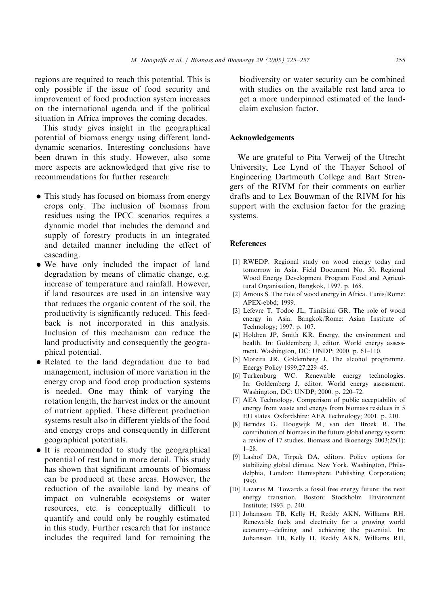<span id="page-30-0"></span>regions are required to reach this potential. This is only possible if the issue of food security and improvement of food production system increases on the international agenda and if the political situation in Africa improves the coming decades.

This study gives insight in the geographical potential of biomass energy using different landdynamic scenarios. Interesting conclusions have been drawn in this study. However, also some more aspects are acknowledged that give rise to recommendations for further research:

- This study has focused on biomass from energy crops only. The inclusion of biomass from residues using the IPCC scenarios requires a dynamic model that includes the demand and supply of forestry products in an integrated and detailed manner including the effect of cascading.
- We have only included the impact of land degradation by means of climatic change, e.g. increase of temperature and rainfall. However, if land resources are used in an intensive way that reduces the organic content of the soil, the productivity is significantly reduced. This feedback is not incorporated in this analysis. Inclusion of this mechanism can reduce the land productivity and consequently the geographical potential.
- Related to the land degradation due to bad management, inclusion of more variation in the energy crop and food crop production systems is needed. One may think of varying the rotation length, the harvest index or the amount of nutrient applied. These different production systems result also in different yields of the food and energy crops and consequently in different geographical potentials.
- It is recommended to study the geographical potential of rest land in more detail. This study has shown that significant amounts of biomass can be produced at these areas. However, the reduction of the available land by means of impact on vulnerable ecosystems or water resources, etc. is conceptually difficult to quantify and could only be roughly estimated in this study. Further research that for instance includes the required land for remaining the

biodiversity or water security can be combined with studies on the available rest land area to get a more underpinned estimated of the landclaim exclusion factor.

## Acknowledgements

We are grateful to Pita Verweij of the Utrecht University, Lee Lynd of the Thayer School of Engineering Dartmouth College and Bart Strengers of the RIVM for their comments on earlier drafts and to Lex Bouwman of the RIVM for his support with the exclusion factor for the grazing systems.

#### References

- [1] RWEDP. Regional study on wood energy today and tomorrow in Asia. Field Document No. 50. Regional Wood Energy Development Program Food and Agricultural Organisation, Bangkok, 1997. p. 168.
- [2] Amous S. The role of wood energy in Africa. Tunis/Rome: APEX-ebbd; 1999.
- [3] Lefevre T, Todoc JL, Timilsina GR. The role of wood energy in Asia. Bangkok/Rome: Asian Institute of Technology; 1997. p. 107.
- [4] Holdren JP, Smith KR. Energy, the environment and health. In: Goldemberg J, editor. World energy assessment. Washington, DC: UNDP; 2000. p. 61–110.
- [5] Moreira JR, Goldemberg J. The alcohol programme. Energy Policy 1999;27:229–45.
- [6] Turkenburg WC. Renewable energy technologies. In: Goldemberg J, editor. World energy assessment. Washington, DC: UNDP; 2000. p. 220–72.
- [7] AEA Technology. Comparison of public acceptability of energy from waste and energy from biomass residues in 5 EU states. Oxfordshire: AEA Technology; 2001. p. 210.
- [8] Berndes G, Hoogwijk M, van den Broek R. The contribution of biomass in the future global energy system: a review of 17 studies. Biomass and Bioenergy 2003;25(1): 1–28.
- [9] Lashof DA, Tirpak DA, editors. Policy options for stabilizing global climate. New York, Washington, Philadelphia, London: Hemisphere Publishing Corporation; 1990.
- [10] Lazarus M. Towards a fossil free energy future: the next energy transition. Boston: Stockholm Environment Institute; 1993. p. 240.
- [11] Johansson TB, Kelly H, Reddy AKN, Williams RH. Renewable fuels and electricity for a growing world economy—defining and achieving the potential. In: Johansson TB, Kelly H, Reddy AKN, Williams RH,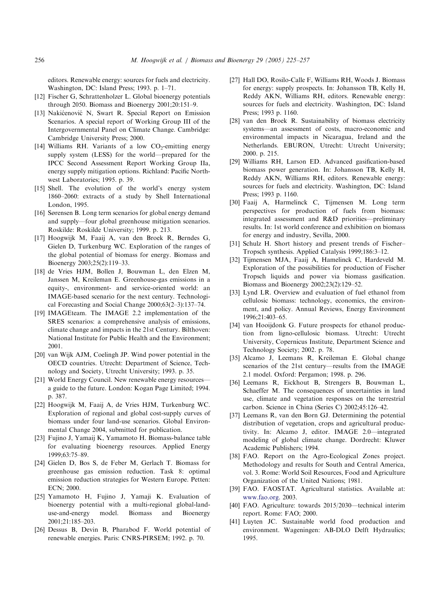editors. Renewable energy: sources for fuels and electricity. Washington, DC: Island Press; 1993. p. 1–71.

- [12] Fischer G, Schrattenholzer L. Global bioenergy potentials through 2050. Biomass and Bioenergy 2001;20:151–9.
- [13] Nakićenović N, Swart R. Special Report on Emission Scenarios. A special report of Working Group III of the Intergovernmental Panel on Climate Change. Cambridge: Cambridge University Press; 2000.
- [14] Williams RH. Variants of a low  $CO_2$ -emitting energy supply system (LESS) for the world—prepared for the IPCC Second Assessment Report Working Group IIa, energy supply mitigation options. Richland: Pacific Northwest Laboratories; 1995. p. 39.
- [15] Shell. The evolution of the world's energy system 1860–2060: extracts of a study by Shell International London, 1995.
- [16] Sørensen B. Long term scenarios for global energy demand and supply—four global greenhouse mitigation scenarios. Roskilde: Roskilde University; 1999. p. 213.
- [17] Hoogwijk M, Faaij A, van den Broek R, Berndes G, Gielen D, Turkenburg WC. Exploration of the ranges of the global potential of biomass for energy. Biomass and Bioenergy 2003;25(2):119–33.
- [18] de Vries HJM, Bollen J, Bouwman L, den Elzen M, Janssen M, Kreileman E. Greenhouse-gas emissions in a equity-, environment- and service-oriented world: an IMAGE-based scenario for the next century. Technological Forecasting and Social Change 2000;63(2–3):137–74.
- [19] IMAGEteam. The IMAGE 2.2 implementation of the SRES scenarios: a comprehensive analysis of emissions, climate change and impacts in the 21st Century. Bilthoven: National Institute for Public Health and the Environment; 2001.
- [20] van Wijk AJM, Coelingh JP. Wind power potential in the OECD countries. Utrecht: Department of Science, Technology and Society, Utrecht University; 1993. p. 35.
- [21] World Energy Council. New renewable energy resources a guide to the future. London: Kogan Page Limited; 1994. p. 387.
- [22] Hoogwijk M, Faaij A, de Vries HJM, Turkenburg WC. Exploration of regional and global cost-supply curves of biomass under four land-use scenarios. Global Environmental Change 2004, submitted for publication.
- [23] Fujino J, Yamaij K, Yamamoto H. Biomass-balance table for evaluating bioenergy resources. Applied Energy 1999;63:75–89.
- [24] Gielen D, Bos S, de Feber M, Gerlach T. Biomass for greenhouse gas emission reduction. Task 8: optimal emission reduction strategies for Western Europe. Petten: ECN; 2000.
- [25] Yamamoto H, Fujino J, Yamaji K. Evaluation of bioenergy potential with a multi-regional global-landuse-and-energy model. Biomass and Bioenergy 2001;21:185–203.
- [26] Dessus B, Devin B, Pharabod F. World potential of renewable energies. Paris: CNRS-PIRSEM; 1992. p. 70.
- [27] Hall DO, Rosilo-Calle F, Williams RH, Woods J. Biomass for energy: supply prospects. In: Johansson TB, Kelly H, Reddy AKN, Williams RH, editors. Renewable energy: sources for fuels and electricity. Washington, DC: Island Press; 1993 p. 1160.
- [28] van den Broek R. Sustainability of biomass electricity systems—an assessment of costs, macro-economic and environmental impacts in Nicaragua, Ireland and the Netherlands. EBURON, Utrecht: Utrecht University; 2000. p. 215.
- [29] Williams RH, Larson ED. Advanced gasification-based biomass power generation. In: Johansson TB, Kelly H, Reddy AKN, Williams RH, editors. Renewable energy: sources for fuels and electricity. Washington, DC: Island Press; 1993 p. 1160.
- [30] Faaij A, Harmelinck C, Tijmensen M. Long term perspectives for production of fuels from biomass: integrated assessment and R&D priorities—preliminary results. In: 1st world conference and exhibition on biomass for energy and industry, Sevilla, 2000.
- [31] Schulz H. Short history and present trends of Fischer– Tropsch synthesis. Applied Catalysis 1999;186:3–12.
- [32] Tijmensen MJA, Faaij A, Hamelinck C, Hardeveld M. Exploration of the possibilities for production of Fischer Tropsch liquids and power via biomass gasification. Biomass and Bioenergy 2002;23(2):129–52.
- [33] Lynd LR. Overview and evaluation of fuel ethanol from cellulosic biomass: technology, economics, the environment, and policy. Annual Reviews, Energy Environment 1996;21:403–65.
- [34] van Hooijdonk G. Future prospects for ethanol production from ligno-cellulosic biomass. Utrecht: Utrecht University, Copernicus Institute, Department Science and Technology Society; 2002. p. 78.
- [35] Alcamo J, Leemans R, Kreileman E. Global change scenarios of the 21st century—results from the IMAGE 2.1 model. Oxford: Pergamon; 1998. p. 296.
- [36] Leemans R, Eickhout B, Strengers B, Bouwman L, Schaeffer M. The consequences of uncertainties in land use, climate and vegetation responses on the terrestrial carbon. Science in China (Series C) 2002;45:126–42.
- [37] Leemans R, van den Born GJ. Determining the potential distribution of vegetation, crops and agricultural productivity. In: Alcamo J, editor. IMAGE 2.0—integrated modeling of global climate change. Dordrecht: Kluwer Academic Publishers; 1994.
- [38] FAO. Report on the Agro-Ecological Zones project. Methodology and results for South and Central America, vol. 3. Rome: World Soil Resources, Food and Agriculture Organization of the United Nations; 1981.
- [39] FAO. FAOSTAT. Agricultural statistics. Available at: [www.fao.org.](http://www.fao.org) 2003.
- [40] FAO. Agriculture: towards 2015/2030—technical interim report. Rome: FAO; 2000.
- [41] Luyten JC. Sustainable world food production and environment. Wageningen: AB-DLO Delft Hydraulics; 1995.

<span id="page-31-0"></span>